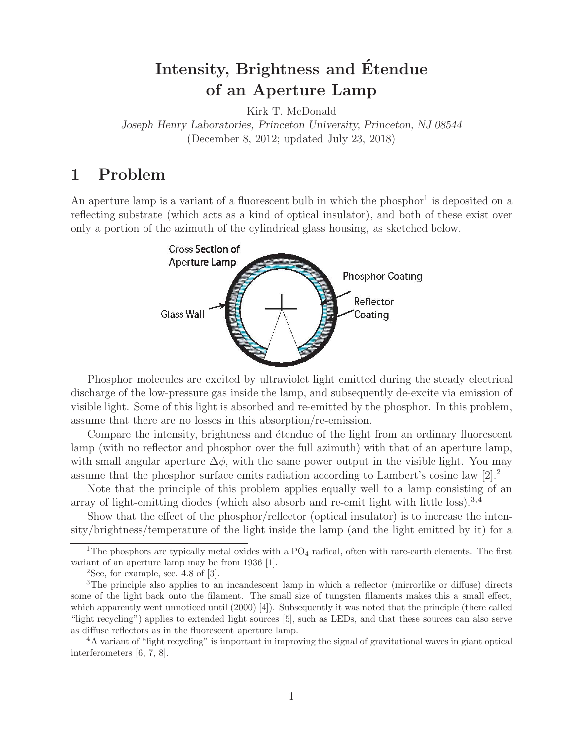# **Intensity, Brightness and Etendue ´ of an Aperture Lamp**

Kirk T. McDonald *Joseph Henry Laboratories, Princeton University, Princeton, NJ 08544* (December 8, 2012; updated July 23, 2018)

# **1 Problem**

An aperture lamp is a variant of a fluorescent bulb in which the phosphor<sup>1</sup> is deposited on a reflecting substrate (which acts as a kind of optical insulator), and both of these exist over only a portion of the azimuth of the cylindrical glass housing, as sketched below.



Phosphor molecules are excited by ultraviolet light emitted during the steady electrical discharge of the low-pressure gas inside the lamp, and subsequently de-excite via emission of visible light. Some of this light is absorbed and re-emitted by the phosphor. In this problem, assume that there are no losses in this absorption/re-emission.

Compare the intensity, brightness and etendue of the light from an ordinary fluorescent lamp (with no reflector and phosphor over the full azimuth) with that of an aperture lamp, with small angular aperture  $\Delta \phi$ , with the same power output in the visible light. You may assume that the phosphor surface emits radiation according to Lambert's cosine law  $[2].^2$ 

Note that the principle of this problem applies equally well to a lamp consisting of an array of light-emitting diodes (which also absorb and re-emit light with little loss).<sup>3,4</sup>

Show that the effect of the phosphor/reflector (optical insulator) is to increase the intensity/brightness/temperature of the light inside the lamp (and the light emitted by it) for a

<sup>&</sup>lt;sup>1</sup>The phosphors are typically metal oxides with a  $PO<sub>4</sub>$  radical, often with rare-earth elements. The first variant of an aperture lamp may be from 1936 [1].

 $2$ See, for example, sec. 4.8 of [3].

<sup>&</sup>lt;sup>3</sup>The principle also applies to an incandescent lamp in which a reflector (mirrorlike or diffuse) directs some of the light back onto the filament. The small size of tungsten filaments makes this a small effect, which apparently went unnoticed until (2000) [4]). Subsequently it was noted that the principle (there called "light recycling") applies to extended light sources [5], such as LEDs, and that these sources can also serve as diffuse reflectors as in the fluorescent aperture lamp.

<sup>4</sup>A variant of "light recycling" is important in improving the signal of gravitational waves in giant optical interferometers [6, 7, 8].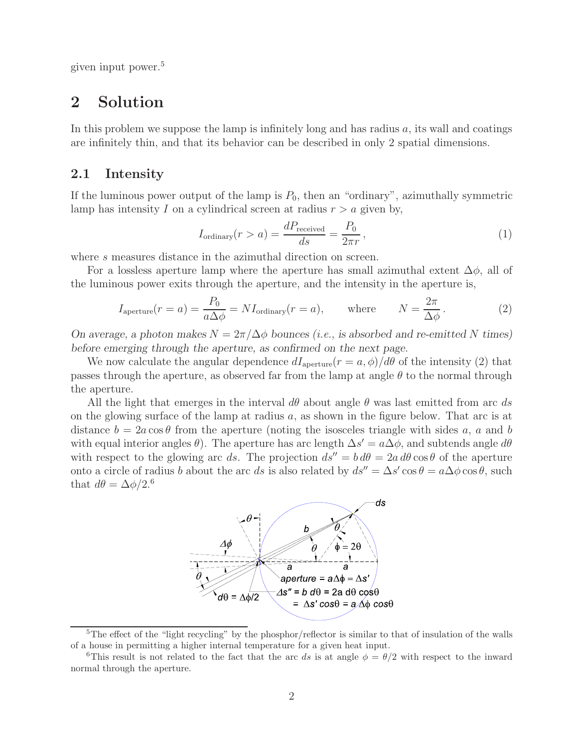given input power.<sup>5</sup>

## **2 Solution**

In this problem we suppose the lamp is infinitely long and has radius  $a$ , its wall and coatings are infinitely thin, and that its behavior can be described in only 2 spatial dimensions.

## **2.1 Intensity**

If the luminous power output of the lamp is  $P_0$ , then an "ordinary", azimuthally symmetric lamp has intensity I on a cylindrical screen at radius  $r > a$  given by,

$$
I_{\text{ordinary}}(r > a) = \frac{dP_{\text{received}}}{ds} = \frac{P_0}{2\pi r},\tag{1}
$$

where s measures distance in the azimuthal direction on screen.

For a lossless aperture lamp where the aperture has small azimuthal extent  $\Delta \phi$ , all of the luminous power exits through the aperture, and the intensity in the aperture is,

$$
I_{\text{aperture}}(r = a) = \frac{P_0}{a\Delta\phi} = NI_{\text{ordinary}}(r = a), \quad \text{where} \quad N = \frac{2\pi}{\Delta\phi}.
$$
 (2)

*On average, a photon makes*  $N = 2\pi/\Delta\phi$  *bounces (i.e., is absorbed and re-emitted* N times) *before emerging through the aperture, as confirmed on the next page.*

We now calculate the angular dependence  $dI_{\text{aperture}}(r = a, \phi)/d\theta$  of the intensity (2) that passes through the aperture, as observed far from the lamp at angle  $\theta$  to the normal through the aperture.

All the light that emerges in the interval  $d\theta$  about angle  $\theta$  was last emitted from arc ds on the glowing surface of the lamp at radius  $a$ , as shown in the figure below. That arc is at distance  $b = 2a \cos \theta$  from the aperture (noting the isosceles triangle with sides a, a and b with equal interior angles  $\theta$ ). The aperture has arc length  $\Delta s' = a\Delta\phi$ , and subtends angle  $d\theta$ with respect to the glowing arc ds. The projection  $ds'' = b d\theta = 2a d\theta \cos \theta$  of the aperture onto a circle of radius b about the arc ds is also related by  $ds'' = \Delta s' \cos \theta = a \Delta \phi \cos \theta$ , such that  $d\theta = \Delta \phi / 2^{6}$ 



<sup>&</sup>lt;sup>5</sup>The effect of the "light recycling" by the phosphor/reflector is similar to that of insulation of the walls of a house in permitting a higher internal temperature for a given heat input.

<sup>&</sup>lt;sup>6</sup>This result is not related to the fact that the arc ds is at angle  $\phi = \theta/2$  with respect to the inward normal through the aperture.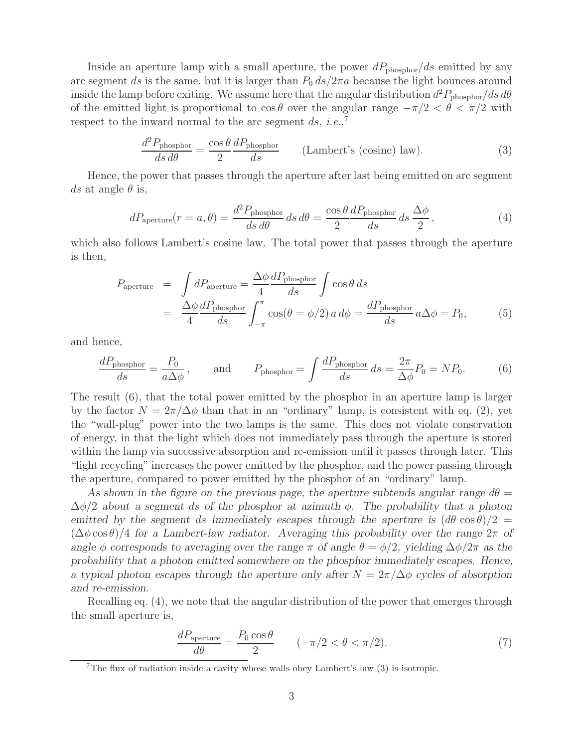Inside an aperture lamp with a small aperture, the power  $dP_{\text{phosphor}}/ds$  emitted by any arc segment ds is the same, but it is larger than  $P_0 ds/2\pi a$  because the light bounces around inside the lamp before exiting. We assume here that the angular distribution  $d^2P_{\text{phosphor}}/ds d\theta$ of the emitted light is proportional to  $\cos \theta$  over the angular range  $-\pi/2 < \theta < \pi/2$  with respect to the inward normal to the arc segment  $ds$ , *i.e.*,<sup>7</sup>

$$
\frac{d^2 P_{\text{phosphor}}}{ds \, d\theta} = \frac{\cos \theta}{2} \frac{d P_{\text{phosphor}}}{ds} \qquad \text{(Lambert's (cosine) law)}.\tag{3}
$$

Hence, the power that passes through the aperture after last being emitted on arc segment ds at angle  $\theta$  is,

$$
dP_{\text{aperture}}(r = a, \theta) = \frac{d^2 P_{\text{phosphor}}}{ds \, d\theta} \, ds \, d\theta = \frac{\cos \theta}{2} \frac{dP_{\text{phosphor}}}{ds} \, ds \, \frac{\Delta \phi}{2},\tag{4}
$$

which also follows Lambert's cosine law. The total power that passes through the aperture is then,

$$
P_{\text{aperture}} = \int dP_{\text{aperture}} = \frac{\Delta \phi}{4} \frac{dP_{\text{phosphor}}}{ds} \int \cos \theta \, ds
$$
  
= 
$$
\frac{\Delta \phi}{4} \frac{dP_{\text{phosphor}}}{ds} \int_{-\pi}^{\pi} \cos(\theta = \phi/2) \, a \, d\phi = \frac{dP_{\text{phosphor}}}{ds} \, a\Delta \phi = P_0,
$$
 (5)

and hence,

$$
\frac{dP_{\text{phosphor}}}{ds} = \frac{P_0}{a\Delta\phi}, \quad \text{and} \quad P_{\text{phosphor}} = \int \frac{dP_{\text{phosphor}}}{ds} ds = \frac{2\pi}{\Delta\phi} P_0 = NP_0. \quad (6)
$$

The result (6), that the total power emitted by the phosphor in an aperture lamp is larger by the factor  $N = 2\pi/\Delta\phi$  than that in an "ordinary" lamp, is consistent with eq. (2), yet the "wall-plug" power into the two lamps is the same. This does not violate conservation of energy, in that the light which does not immediately pass through the aperture is stored within the lamp via successive absorption and re-emission until it passes through later. This "light recycling" increases the power emitted by the phosphor, and the power passing through the aperture, compared to power emitted by the phosphor of an "ordinary" lamp.

As shown in the figure on the previous page, the aperture subtends angular range  $d\theta =$ Δφ/2 *about a segment* ds *of the phosphor at azimuth* φ*. The probability that a photon emitted by the segment ds immediately escapes through the aperture is*  $(d\theta \cos \theta)/2$  =  $(\Delta \phi \cos \theta)/4$  for a Lambert-law radiator. Averaging this probability over the range  $2\pi$  of *angle*  $\phi$  *corresponds* to averaging over the range  $\pi$  *of angle*  $\theta = \phi/2$ *, yielding*  $\Delta\phi/2\pi$  *as the probability that a photon emitted somewhere on the phosphor immediately escapes. Hence, a typical photon escapes through the aperture only after*  $N = 2\pi/\Delta\phi$  *cycles of absorption and re-emission.*

Recalling eq. (4), we note that the angular distribution of the power that emerges through the small aperture is,

$$
\frac{dP_{\text{aperture}}}{d\theta} = \frac{P_0 \cos \theta}{2} \qquad (-\pi/2 < \theta < \pi/2). \tag{7}
$$

<sup>&</sup>lt;sup>7</sup>The flux of radiation inside a cavity whose walls obey Lambert's law  $(3)$  is isotropic.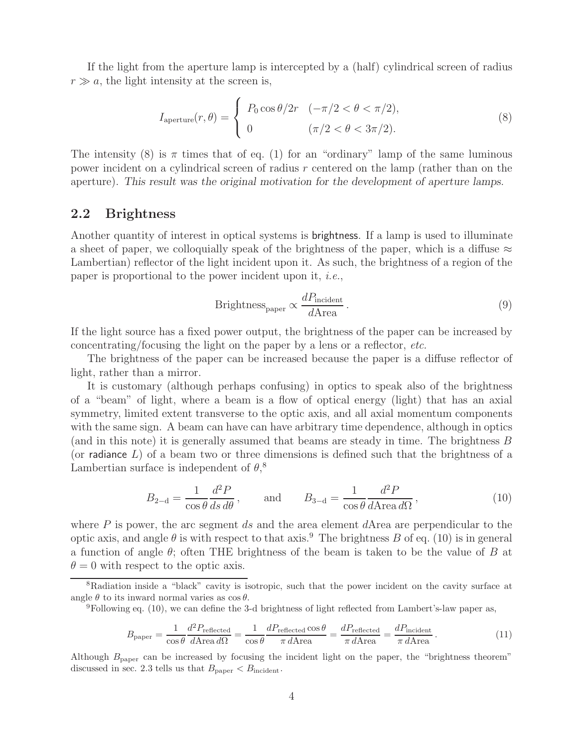If the light from the aperture lamp is intercepted by a (half) cylindrical screen of radius  $r \gg a$ , the light intensity at the screen is,

$$
I_{\text{aperture}}(r,\theta) = \begin{cases} P_0 \cos \theta / 2r & (-\pi/2 < \theta < \pi/2), \\ 0 & (\pi/2 < \theta < 3\pi/2). \end{cases} \tag{8}
$$

The intensity (8) is  $\pi$  times that of eq. (1) for an "ordinary" lamp of the same luminous power incident on a cylindrical screen of radius r centered on the lamp (rather than on the aperture). *This result was the original motivation for the development of aperture lamps.*

## **2.2 Brightness**

Another quantity of interest in optical systems is brightness. If a lamp is used to illuminate a sheet of paper, we colloquially speak of the brightness of the paper, which is a diffuse  $\approx$ Lambertian) reflector of the light incident upon it. As such, the brightness of a region of the paper is proportional to the power incident upon it, *i.e.*,

$$
Brightnesspaper \propto \frac{dPincident}{dArea} \,. \tag{9}
$$

If the light source has a fixed power output, the brightness of the paper can be increased by concentrating/focusing the light on the paper by a lens or a reflector, *etc.*

The brightness of the paper can be increased because the paper is a diffuse reflector of light, rather than a mirror.

It is customary (although perhaps confusing) in optics to speak also of the brightness of a "beam" of light, where a beam is a flow of optical energy (light) that has an axial symmetry, limited extent transverse to the optic axis, and all axial momentum components with the same sign. A beam can have can have arbitrary time dependence, although in optics (and in this note) it is generally assumed that beams are steady in time. The brightness B (or radiance  $L$ ) of a beam two or three dimensions is defined such that the brightness of a Lambertian surface is independent of  $\theta$ ,<sup>8</sup>

$$
B_{2-\mathrm{d}} = \frac{1}{\cos\theta} \frac{d^2 P}{ds d\theta}, \quad \text{and} \quad B_{3-\mathrm{d}} = \frac{1}{\cos\theta} \frac{d^2 P}{d \text{Area } d\Omega}, \tag{10}
$$

where  $P$  is power, the arc segment  $ds$  and the area element  $d$ Area are perpendicular to the optic axis, and angle  $\theta$  is with respect to that axis.<sup>9</sup> The brightness B of eq. (10) is in general a function of angle  $\theta$ ; often THE brightness of the beam is taken to be the value of B at  $\theta = 0$  with respect to the optic axis.

$$
B_{\text{paper}} = \frac{1}{\cos\theta} \frac{d^2 P_{\text{reflected}}}{d \text{Area } d\Omega} = \frac{1}{\cos\theta} \frac{d P_{\text{reflected}} \cos\theta}{\pi d \text{Area}} = \frac{d P_{\text{reflected}}}{\pi d \text{Area}} = \frac{d P_{\text{incident}}}{\pi d \text{Area}}.
$$
(11)

Although  $B_{\text{paper}}$  can be increased by focusing the incident light on the paper, the "brightness theorem" discussed in sec. 2.3 tells us that  $B_{\text{paper}} < B_{\text{incident}}$ .

<sup>&</sup>lt;sup>8</sup>Radiation inside a "black" cavity is isotropic, such that the power incident on the cavity surface at angle  $\theta$  to its inward normal varies as  $\cos \theta$ .<br><sup>9</sup>Following eq. (10), we can define the 3-d brightness of light reflected from Lambert's-law paper as,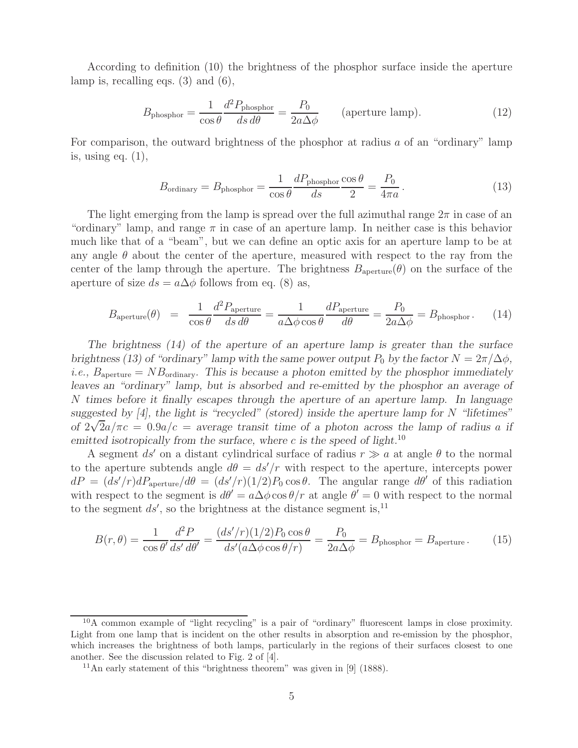According to definition (10) the brightness of the phosphor surface inside the aperture lamp is, recalling eqs. (3) and (6),

$$
B_{\text{phosphor}} = \frac{1}{\cos \theta} \frac{d^2 P_{\text{phosphor}}}{ds \, d\theta} = \frac{P_0}{2a \Delta \phi} \qquad \text{(aperture lamp)}.
$$
 (12)

For comparison, the outward brightness of the phosphor at radius a of an "ordinary" lamp is, using eq.  $(1)$ ,

$$
B_{\text{ordinary}} = B_{\text{phosphor}} = \frac{1}{\cos \theta} \frac{dP_{\text{phosphor}}}{ds} \frac{\cos \theta}{2} = \frac{P_0}{4\pi a} \,. \tag{13}
$$

The light emerging from the lamp is spread over the full azimuthal range  $2\pi$  in case of an "ordinary" lamp, and range  $\pi$  in case of an aperture lamp. In neither case is this behavior much like that of a "beam", but we can define an optic axis for an aperture lamp to be at any angle  $\theta$  about the center of the aperture, measured with respect to the ray from the center of the lamp through the aperture. The brightness  $B_{\text{aperture}}(\theta)$  on the surface of the aperture of size  $ds = a\Delta\phi$  follows from eq. (8) as,

$$
B_{\text{aperture}}(\theta) = \frac{1}{\cos \theta} \frac{d^2 P_{\text{aperture}}}{ds \, d\theta} = \frac{1}{a \Delta \phi \cos \theta} \frac{d P_{\text{aperture}}}{d\theta} = \frac{P_0}{2a \Delta \phi} = B_{\text{phosphor}}.
$$
 (14)

*The brightness (14) of the aperture of an aperture lamp is greater than the surface brightness (13) of "ordinary" lamp with the same power output*  $P_0$  *by the factor*  $N = 2\pi/\Delta\phi$ , *i.e.*,  $B_{\text{aperture}} = NB_{\text{ordinary}}$ *. This is because a photon emitted by the phosphor immediately leaves an "ordinary" lamp, but is absorbed and re-emitted by the phosphor an average of* N *times before it finally escapes through the aperture of an aperture lamp. In language suggested by [4], the light is "recycled" (stored) inside the aperture lamp for*  $N$  *"lifetimes"* of  $2\sqrt{2}a/\pi c = 0.9a/c =$  average transit time of a photon across the lamp of radius a *if emitted isotropically from the surface, where* c *is the speed of light.*<sup>10</sup>

A segment  $ds'$  on a distant cylindrical surface of radius  $r \gg a$  at angle  $\theta$  to the normal to the aperture subtends angle  $d\theta = ds'/r$  with respect to the aperture, intercepts power  $dP = (ds'/r)dP_{\text{aperture}}/d\theta = (ds'/r)(1/2)P_0 \cos\theta$ . The angular range  $d\theta'$  of this radiation with respect to the segment is  $d\theta' = a\Delta\phi\cos\theta/r$  at angle  $\theta' = 0$  with respect to the normal to the segment  $ds'$ , so the brightness at the distance segment is,<sup>11</sup>

$$
B(r,\theta) = \frac{1}{\cos\theta'} \frac{d^2 P}{ds' d\theta'} = \frac{(ds'/r)(1/2)P_0 \cos\theta}{ds'(a\Delta\phi\cos\theta/r)} = \frac{P_0}{2a\Delta\phi} = B_{\text{phosphor}} = B_{\text{aperture}}.
$$
 (15)

<sup>10</sup>A common example of "light recycling" is a pair of "ordinary" fluorescent lamps in close proximity. Light from one lamp that is incident on the other results in absorption and re-emission by the phosphor, which increases the brightness of both lamps, particularly in the regions of their surfaces closest to one another. See the discussion related to Fig. 2 of [4].

<sup>&</sup>lt;sup>11</sup>An early statement of this "brightness theorem" was given in [9] (1888).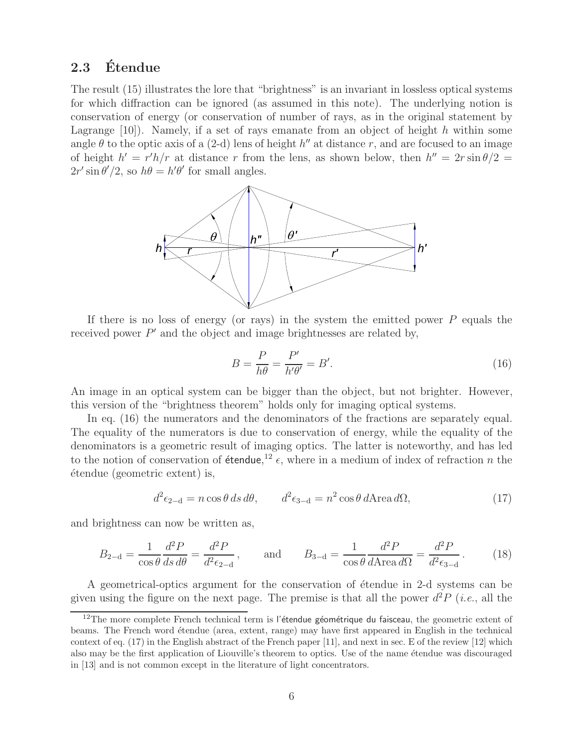## **2.3 Etendue ´**

The result (15) illustrates the lore that "brightness" is an invariant in lossless optical systems for which diffraction can be ignored (as assumed in this note). The underlying notion is conservation of energy (or conservation of number of rays, as in the original statement by Lagrange  $[10]$ . Namely, if a set of rays emanate from an object of height h within some angle  $\theta$  to the optic axis of a (2-d) lens of height h'' at distance r, and are focused to an image of height  $h' = r'h/r$  at distance r from the lens, as shown below, then  $h'' = 2r \sin \theta/2 =$  $2r' \sin \theta'/2$ , so  $h\theta = h'\theta'$  for small angles.



If there is no loss of energy (or rays) in the system the emitted power  $P$  equals the received power  $P'$  and the object and image brightnesses are related by,

$$
B = \frac{P}{h\theta} = \frac{P'}{h'\theta'} = B'.
$$
\n(16)

An image in an optical system can be bigger than the object, but not brighter. However, this version of the "brightness theorem" holds only for imaging optical systems.

In eq. (16) the numerators and the denominators of the fractions are separately equal. The equality of the numerators is due to conservation of energy, while the equality of the denominators is a geometric result of imaging optics. The latter is noteworthy, and has led to the notion of conservation of **étendue**,<sup>12</sup>  $\epsilon$ , where in a medium of index of refraction n the ´etendue (geometric extent) is,

$$
d^2\epsilon_{2-d} = n\cos\theta \,ds \,d\theta, \qquad d^2\epsilon_{3-d} = n^2\cos\theta \,d\text{Area}\,d\Omega,\tag{17}
$$

and brightness can now be written as,

$$
B_{2-d} = \frac{1}{\cos \theta} \frac{d^2 P}{ds d\theta} = \frac{d^2 P}{d^2 \epsilon_{2-d}}, \quad \text{and} \quad B_{3-d} = \frac{1}{\cos \theta} \frac{d^2 P}{d \text{Area } d\Omega} = \frac{d^2 P}{d^2 \epsilon_{3-d}}.
$$
 (18)

A geometrical-optics argument for the conservation of étendue in 2-d systems can be given using the figure on the next page. The premise is that all the power  $d^2P$  (*i.e.*, all the

<sup>&</sup>lt;sup>12</sup>The more complete French technical term is l'étendue géométrique du faisceau, the geometric extent of beams. The French word étendue (area, extent, range) may have first appeared in English in the technical context of eq. (17) in the English abstract of the French paper [11], and next in sec. E of the review [12] which also may be the first application of Liouville's theorem to optics. Use of the name étendue was discouraged in [13] and is not common except in the literature of light concentrators.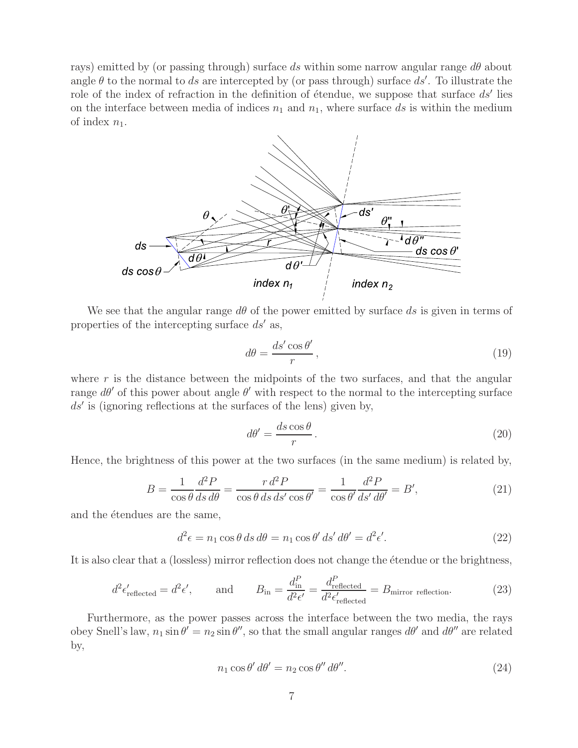rays) emitted by (or passing through) surface ds within some narrow angular range  $d\theta$  about angle  $\theta$  to the normal to ds are intercepted by (or pass through) surface ds'. To illustrate the role of the index of refraction in the definition of étendue, we suppose that surface  $ds'$  lies on the interface between media of indices  $n_1$  and  $n_1$ , where surface ds is within the medium of index  $n_1$ .



We see that the angular range  $d\theta$  of the power emitted by surface ds is given in terms of properties of the intercepting surface  $ds'$  as,

$$
d\theta = \frac{ds'\cos\theta'}{r},\qquad(19)
$$

where  $r$  is the distance between the midpoints of the two surfaces, and that the angular range  $d\theta'$  of this power about angle  $\theta'$  with respect to the normal to the intercepting surface  $ds'$  is (ignoring reflections at the surfaces of the lens) given by,

$$
d\theta' = \frac{ds\cos\theta}{r}.
$$
\n(20)

Hence, the brightness of this power at the two surfaces (in the same medium) is related by,

$$
B = \frac{1}{\cos\theta} \frac{d^2 P}{ds d\theta} = \frac{r d^2 P}{\cos\theta ds ds' \cos\theta'} = \frac{1}{\cos\theta'} \frac{d^2 P}{ds' d\theta'} = B',\tag{21}
$$

and the  $\acute{e}$ tendues are the same,

$$
d^2\epsilon = n_1 \cos \theta \, ds \, d\theta = n_1 \cos \theta' \, ds' \, d\theta' = d^2\epsilon'.\tag{22}
$$

It is also clear that a (lossless) mirror reflection does not change the étendue or the brightness,

$$
d^2 \epsilon'_{\text{reflected}} = d^2 \epsilon', \qquad \text{and} \qquad B_{\text{in}} = \frac{d_{\text{in}}^P}{d^2 \epsilon'} = \frac{d_{\text{reflected}}^P}{d^2 \epsilon'_{\text{reflected}}} = B_{\text{mirror reflection}}.
$$
 (23)

Furthermore, as the power passes across the interface between the two media, the rays obey Snell's law,  $n_1 \sin \theta' = n_2 \sin \theta''$ , so that the small angular ranges  $d\theta'$  and  $d\theta''$  are related by,

$$
n_1 \cos \theta' d\theta' = n_2 \cos \theta'' d\theta''.
$$
\n(24)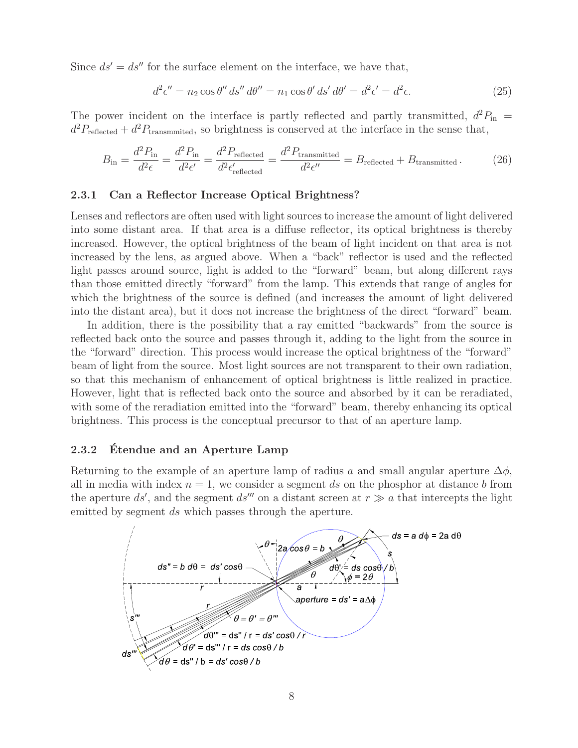Since  $ds' = ds''$  for the surface element on the interface, we have that,

$$
d^{2}\epsilon'' = n_{2}\cos\theta''\,ds''\,d\theta'' = n_{1}\cos\theta'\,ds'\,d\theta' = d^{2}\epsilon' = d^{2}\epsilon.
$$
\n(25)

The power incident on the interface is partly reflected and partly transmitted,  $d^2P_{\text{in}} =$  $d^2P_{\text{reflected}} + d^2P_{\text{transmitted}}$ , so brightness is conserved at the interface in the sense that,

$$
B_{\rm in} = \frac{d^2 P_{\rm in}}{d^2 \epsilon} = \frac{d^2 P_{\rm in}}{d^2 \epsilon'} = \frac{d^2 P_{\rm reflected}}{d^2 \epsilon'_{\rm reflected}} = \frac{d^2 P_{\rm transmitted}}{d^2 \epsilon''} = B_{\rm reflected} + B_{\rm transmitted} \,. \tag{26}
$$

#### **2.3.1 Can a Reflector Increase Optical Brightness?**

Lenses and reflectors are often used with light sources to increase the amount of light delivered into some distant area. If that area is a diffuse reflector, its optical brightness is thereby increased. However, the optical brightness of the beam of light incident on that area is not increased by the lens, as argued above. When a "back" reflector is used and the reflected light passes around source, light is added to the "forward" beam, but along different rays than those emitted directly "forward" from the lamp. This extends that range of angles for which the brightness of the source is defined (and increases the amount of light delivered into the distant area), but it does not increase the brightness of the direct "forward" beam.

In addition, there is the possibility that a ray emitted "backwards" from the source is reflected back onto the source and passes through it, adding to the light from the source in the "forward" direction. This process would increase the optical brightness of the "forward" beam of light from the source. Most light sources are not transparent to their own radiation, so that this mechanism of enhancement of optical brightness is little realized in practice. However, light that is reflected back onto the source and absorbed by it can be reradiated, with some of the reradiation emitted into the "forward" beam, thereby enhancing its optical brightness. This process is the conceptual precursor to that of an aperture lamp.

### **2.3.2 Etendue and an Aperture Lamp ´**

Returning to the example of an aperture lamp of radius a and small angular aperture  $\Delta\phi$ , all in media with index  $n = 1$ , we consider a segment ds on the phosphor at distance b from the aperture ds', and the segment ds''' on a distant screen at  $r \gg a$  that intercepts the light emitted by segment ds which passes through the aperture.

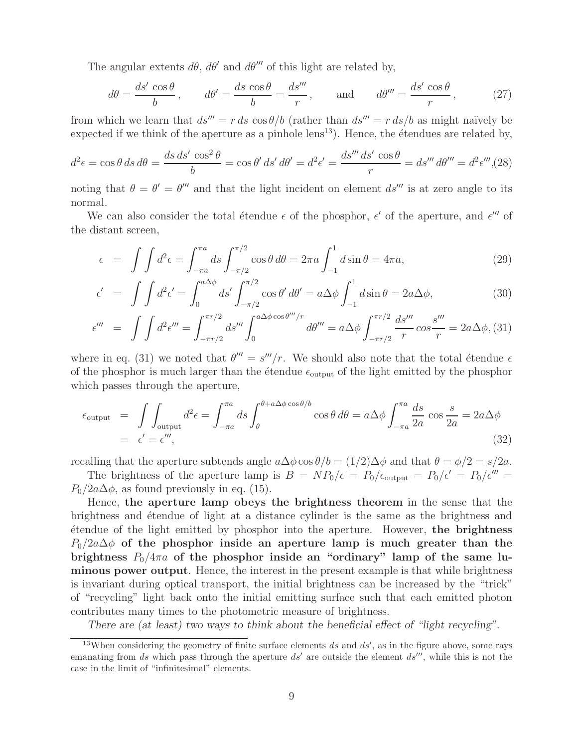The angular extents  $d\theta$ ,  $d\theta'$  and  $d\theta'''$  of this light are related by,

$$
d\theta = \frac{ds' \cos \theta}{b}, \qquad d\theta' = \frac{ds \cos \theta}{b} = \frac{ds'''}{r}, \qquad \text{and} \qquad d\theta''' = \frac{ds' \cos \theta}{r}, \tag{27}
$$

from which we learn that  $ds''' = r ds \cos\theta/b$  (rather than  $ds''' = r ds/b$  as might naïvely be expected if we think of the aperture as a pinhole  $lens^{13}$ ). Hence, the étendues are related by,

$$
d^2\epsilon = \cos\theta \, ds \, d\theta = \frac{ds \, ds' \, \cos^2\theta}{b} = \cos\theta' \, ds' \, d\theta' = d^2\epsilon' = \frac{ds''' \, ds' \, \cos\theta}{r} = ds''' \, d\theta''' = d^2\epsilon''' ,
$$
 (28)

noting that  $\theta = \theta' = \theta'''$  and that the light incident on element  $ds''''$  is at zero angle to its normal.

We can also consider the total étendue  $\epsilon$  of the phosphor,  $\epsilon'$  of the aperture, and  $\epsilon'''$  of the distant screen,

$$
\epsilon = \int \int d^2 \epsilon = \int_{-\pi a}^{\pi a} ds \int_{-\pi/2}^{\pi/2} \cos \theta \, d\theta = 2\pi a \int_{-1}^{1} d \sin \theta = 4\pi a,\tag{29}
$$

$$
\epsilon' = \int \int d^2 \epsilon' = \int_0^{a \Delta \phi} ds' \int_{-\pi/2}^{\pi/2} \cos \theta' d\theta' = a \Delta \phi \int_{-1}^1 d \sin \theta = 2a \Delta \phi,
$$
 (30)

$$
\epsilon''' = \int \int d^2 \epsilon''' = \int_{-\pi r/2}^{\pi r/2} ds''' \int_0^{a \Delta \phi \cos \theta'''/r} d\theta''' = a \Delta \phi \int_{-\pi r/2}^{\pi r/2} \frac{ds'''}{r} \cos \frac{s'''}{r} = 2a \Delta \phi, (31)
$$

where in eq. (31) we noted that  $\theta''' = s'''/r$ . We should also note that the total étendue  $\epsilon$ of the phosphor is much larger than the étendue  $\epsilon_{\text{output}}$  of the light emitted by the phosphor which passes through the aperture,

$$
\epsilon_{\text{output}} = \int \int_{\text{output}} d^2 \epsilon = \int_{-\pi a}^{\pi a} ds \int_{\theta}^{\theta + a \Delta \phi \cos \theta/b} \cos \theta d\theta = a \Delta \phi \int_{-\pi a}^{\pi a} \frac{ds}{2a} \cos \frac{s}{2a} = 2a \Delta \phi
$$
\n
$$
= \epsilon' = \epsilon'', \tag{32}
$$

recalling that the aperture subtends angle  $a\Delta\phi\cos\theta/b = (1/2)\Delta\phi$  and that  $\theta = \phi/2 = s/2a$ .

The brightness of the aperture lamp is  $B = NP_0/\epsilon = P_0/\epsilon_{\text{output}} = P_0/\epsilon' = P_0/\epsilon'''$  $P_0/2a\Delta\phi$ , as found previously in eq. (15).

Hence, **the aperture lamp obeys the brightness theorem** in the sense that the brightness and ´etendue of light at a distance cylinder is the same as the brightness and ´etendue of the light emitted by phosphor into the aperture. However, **the brightness**  $P_0/2a\Delta\phi$  of the phosphor inside an aperture lamp is much greater than the brightness  $P_0/4\pi a$  of the phosphor inside an "ordinary" lamp of the same lu**minous power output**. Hence, the interest in the present example is that while brightness is invariant during optical transport, the initial brightness can be increased by the "trick" of "recycling" light back onto the initial emitting surface such that each emitted photon contributes many times to the photometric measure of brightness.

*There are (at least) two ways to think about the beneficial effect of "light recycling".*

<sup>&</sup>lt;sup>13</sup>When considering the geometry of finite surface elements ds and  $ds'$ , as in the figure above, some rays emanating from ds which pass through the aperture  $ds'$  are outside the element  $ds''$ , while this is not the case in the limit of "infinitesimal" elements.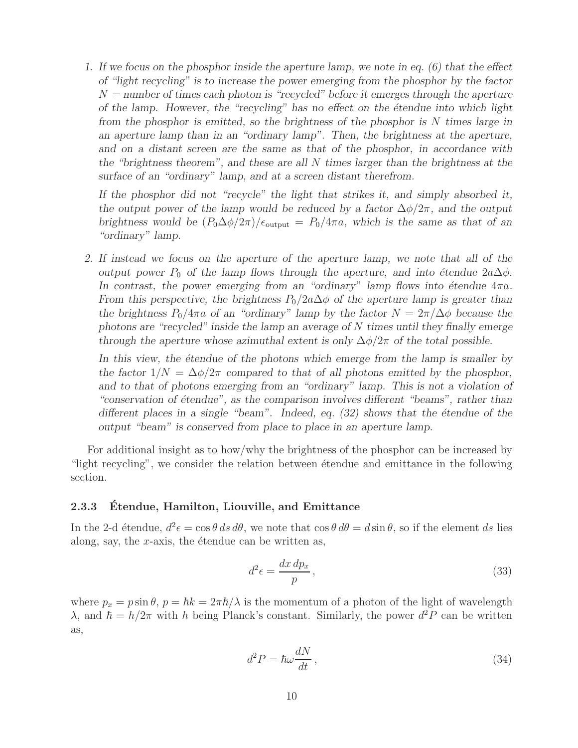*1. If we focus on the phosphor inside the aperture lamp, we note in eq. (6) that the effect of "light recycling" is to increase the power emerging from the phosphor by the factor* N *= number of times each photon is "recycled" before it emerges through the aperture of the lamp. However, the "recycling" has no effect on the étendue into which light from the phosphor is emitted, so the brightness of the phosphor is* N *times large in an aperture lamp than in an "ordinary lamp". Then, the brightness at the aperture, and on a distant screen are the same as that of the phosphor, in accordance with the "brightness theorem", and these are all* N *times larger than the brightness at the surface of an "ordinary" lamp, and at a screen distant therefrom.*

*If the phosphor did not "recycle" the light that strikes it, and simply absorbed it, the output power of the lamp would be reduced by a factor*  $\Delta\phi/2\pi$ *, and the output brightness would be*  $(P_0\Delta\phi/2\pi)/\epsilon_{\text{output}} = P_0/4\pi a$ , which is the same as that of an *"ordinary" lamp.*

*2. If instead we focus on the aperture of the aperture lamp, we note that all of the output power*  $P_0$  *of the lamp flows through the aperture, and into étendue*  $2a\Delta\phi$ *.* In contrast, the power emerging from an "ordinary" lamp flows into étendue  $4\pi a$ . *From this perspective, the brightness*  $P_0/2a\Delta\phi$  *of the aperture lamp is greater than the brightness*  $P_0/4\pi a$  *of an "ordinary" lamp by the factor*  $N = 2\pi/\Delta\phi$  *because the photons are "recycled" inside the lamp an average of* N *times until they finally emerge through the aperture whose azimuthal extent is only*  $\Delta\phi/2\pi$  *of the total possible.* 

In this view, the *étendue of the photons which emerge from the lamp is smaller by the factor*  $1/N = \Delta\phi/2\pi$  *compared to that of all photons emitted by the phosphor, and to that of photons emerging from an "ordinary" lamp. This is not a violation of* "conservation of étendue", as the comparison involves different "beams", rather than *different places in a single "beam". Indeed, eq. (32) shows that the étendue of the output "beam" is conserved from place to place in an aperture lamp.*

For additional insight as to how/why the brightness of the phosphor can be increased by "light recycling", we consider the relation between étendue and emittance in the following section.

#### 2.3.3 Etendue, Hamilton, Liouville, and Emittance

In the 2-d étendue,  $d^2 \epsilon = \cos \theta \, ds \, d\theta$ , we note that  $\cos \theta \, d\theta = d \sin \theta$ , so if the element ds lies along, say, the  $x$ -axis, the étendue can be written as,

$$
d^2 \epsilon = \frac{dx \, dp_x}{p} \,,\tag{33}
$$

where  $p_x = p \sin \theta$ ,  $p = \hbar k = 2\pi \hbar / \lambda$  is the momentum of a photon of the light of wavelength  $\lambda$ , and  $\hbar = h/2\pi$  with h being Planck's constant. Similarly, the power  $d^2P$  can be written as,

$$
d^2P = \hbar\omega \frac{dN}{dt},\qquad(34)
$$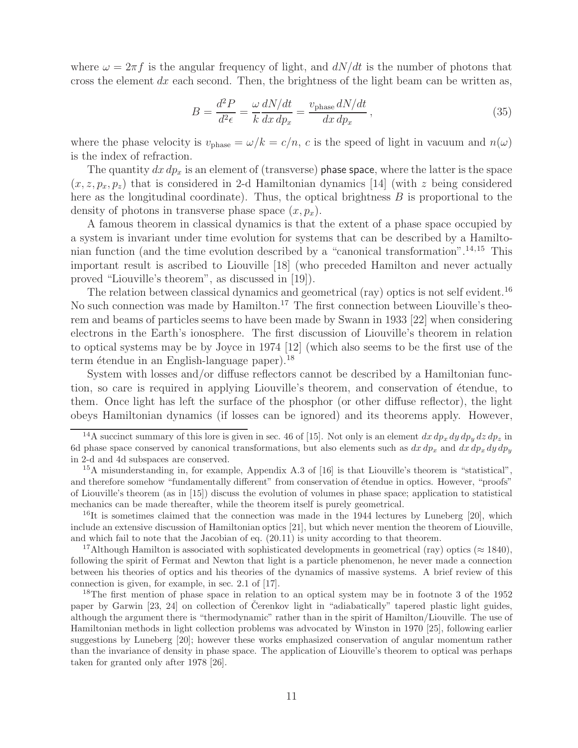where  $\omega = 2\pi f$  is the angular frequency of light, and  $dN/dt$  is the number of photons that cross the element  $dx$  each second. Then, the brightness of the light beam can be written as,

$$
B = \frac{d^2 P}{d^2 \epsilon} = \frac{\omega}{k} \frac{dN/dt}{dx \, dp_x} = \frac{v_{\text{phase}} dN/dt}{dx \, dp_x},\tag{35}
$$

where the phase velocity is  $v_{phase} = \omega/k = c/n$ , c is the speed of light in vacuum and  $n(\omega)$ is the index of refraction.

The quantity  $dx dp_x$  is an element of (transverse) phase space, where the latter is the space  $(x, z, p_x, p_z)$  that is considered in 2-d Hamiltonian dynamics [14] (with z being considered here as the longitudinal coordinate). Thus, the optical brightness  $B$  is proportional to the density of photons in transverse phase space  $(x, p_x)$ .

A famous theorem in classical dynamics is that the extent of a phase space occupied by a system is invariant under time evolution for systems that can be described by a Hamiltonian function (and the time evolution described by a "canonical transformation".<sup>14,15</sup> This important result is ascribed to Liouville [18] (who preceded Hamilton and never actually proved "Liouville's theorem", as discussed in [19]).

The relation between classical dynamics and geometrical (ray) optics is not self evident.<sup>16</sup> No such connection was made by Hamilton.<sup>17</sup> The first connection between Liouville's theorem and beams of particles seems to have been made by Swann in 1933 [22] when considering electrons in the Earth's ionosphere. The first discussion of Liouville's theorem in relation to optical systems may be by Joyce in 1974 [12] (which also seems to be the first use of the term étendue in an English-language paper).<sup>18</sup>

System with losses and/or diffuse reflectors cannot be described by a Hamiltonian function, so care is required in applying Liouville's theorem, and conservation of étendue, to them. Once light has left the surface of the phosphor (or other diffuse reflector), the light obeys Hamiltonian dynamics (if losses can be ignored) and its theorems apply. However,

<sup>17</sup>Although Hamilton is associated with sophisticated developments in geometrical (ray) optics ( $\approx$  1840), following the spirit of Fermat and Newton that light is a particle phenomenon, he never made a connection between his theories of optics and his theories of the dynamics of massive systems. A brief review of this connection is given, for example, in sec. 2.1 of [17].

<sup>18</sup>The first mention of phase space in relation to an optical system may be in footnote 3 of the 1952 paper by Garwin  $[23, 24]$  on collection of Cerenkov light in "adiabatically" tapered plastic light guides, although the argument there is "thermodynamic" rather than in the spirit of Hamilton/Liouville. The use of Hamiltonian methods in light collection problems was advocated by Winston in 1970 [25], following earlier suggestions by Luneberg [20]; however these works emphasized conservation of angular momentum rather than the invariance of density in phase space. The application of Liouville's theorem to optical was perhaps taken for granted only after 1978 [26].

<sup>&</sup>lt;sup>14</sup>A succinct summary of this lore is given in sec. 46 of [15]. Not only is an element  $dx dp_x dy dp_y dz dp_z$  in 6d phase space conserved by canonical transformations, but also elements such as  $dx dp_x$  and  $dx dp_x dy dp_y$ in 2-d and 4d subspaces are conserved.

<sup>15</sup>A misunderstanding in, for example, Appendix A.3 of [16] is that Liouville's theorem is "statistical", and therefore somehow "fundamentally different" from conservation of étendue in optics. However, "proofs" of Liouville's theorem (as in [15]) discuss the evolution of volumes in phase space; application to statistical mechanics can be made thereafter, while the theorem itself is purely geometrical.

<sup>&</sup>lt;sup>16</sup>It is sometimes claimed that the connection was made in the 1944 lectures by Luneberg [20], which include an extensive discussion of Hamiltonian optics [21], but which never mention the theorem of Liouville, and which fail to note that the Jacobian of eq. (20.11) is unity according to that theorem.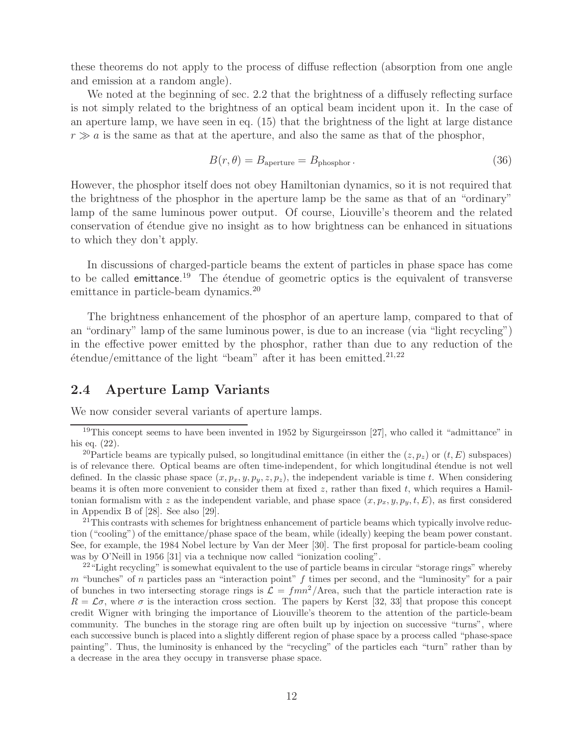these theorems do not apply to the process of diffuse reflection (absorption from one angle and emission at a random angle).

We noted at the beginning of sec. 2.2 that the brightness of a diffusely reflecting surface is not simply related to the brightness of an optical beam incident upon it. In the case of an aperture lamp, we have seen in eq. (15) that the brightness of the light at large distance  $r \gg a$  is the same as that at the aperture, and also the same as that of the phosphor,

$$
B(r,\theta) = B_{\text{aperture}} = B_{\text{phosphor}}.\tag{36}
$$

However, the phosphor itself does not obey Hamiltonian dynamics, so it is not required that the brightness of the phosphor in the aperture lamp be the same as that of an "ordinary" lamp of the same luminous power output. Of course, Liouville's theorem and the related conservation of étendue give no insight as to how brightness can be enhanced in situations to which they don't apply.

In discussions of charged-particle beams the extent of particles in phase space has come to be called emittance.<sup>19</sup> The étendue of geometric optics is the equivalent of transverse emittance in particle-beam dynamics.<sup>20</sup>

The brightness enhancement of the phosphor of an aperture lamp, compared to that of an "ordinary" lamp of the same luminous power, is due to an increase (via "light recycling") in the effective power emitted by the phosphor, rather than due to any reduction of the  $\acute{e}$ tendue/emittance of the light "beam" after it has been emitted.<sup>21,22</sup>

## **2.4 Aperture Lamp Variants**

We now consider several variants of aperture lamps.

<sup>21</sup>This contrasts with schemes for brightness enhancement of particle beams which typically involve reduction ("cooling") of the emittance/phase space of the beam, while (ideally) keeping the beam power constant. See, for example, the 1984 Nobel lecture by Van der Meer [30]. The first proposal for particle-beam cooling was by O'Neill in 1956 [31] via a technique now called "ionization cooling".

<sup>22</sup> "Light recycling" is somewhat equivalent to the use of particle beams in circular "storage rings" whereby  $m$  "bunches" of n particles pass an "interaction point"  $f$  times per second, and the "luminosity" for a pair of bunches in two intersecting storage rings is  $\mathcal{L} = f m n^2/\text{Area}$ , such that the particle interaction rate is  $R = \mathcal{L}\sigma$ , where  $\sigma$  is the interaction cross section. The papers by Kerst [32, 33] that propose this concept credit Wigner with bringing the importance of Liouville's theorem to the attention of the particle-beam community. The bunches in the storage ring are often built up by injection on successive "turns", where each successive bunch is placed into a slightly different region of phase space by a process called "phase-space painting". Thus, the luminosity is enhanced by the "recycling" of the particles each "turn" rather than by a decrease in the area they occupy in transverse phase space.

 $19$ This concept seems to have been invented in 1952 by Sigurgeirsson [27], who called it "admittance" in his eq. (22).

<sup>&</sup>lt;sup>20</sup>Particle beams are typically pulsed, so longitudinal emittance (in either the  $(z, p_z)$  or  $(t, E)$  subspaces) is of relevance there. Optical beams are often time-independent, for which longitudinal étendue is not well defined. In the classic phase space  $(x, p_x, y, p_y, z, p_z)$ , the independent variable is time t. When considering beams it is often more convenient to consider them at fixed  $z$ , rather than fixed  $t$ , which requires a Hamiltonian formalism with z as the independent variable, and phase space  $(x, p_x, y, p_y, t, E)$ , as first considered in Appendix B of [28]. See also [29].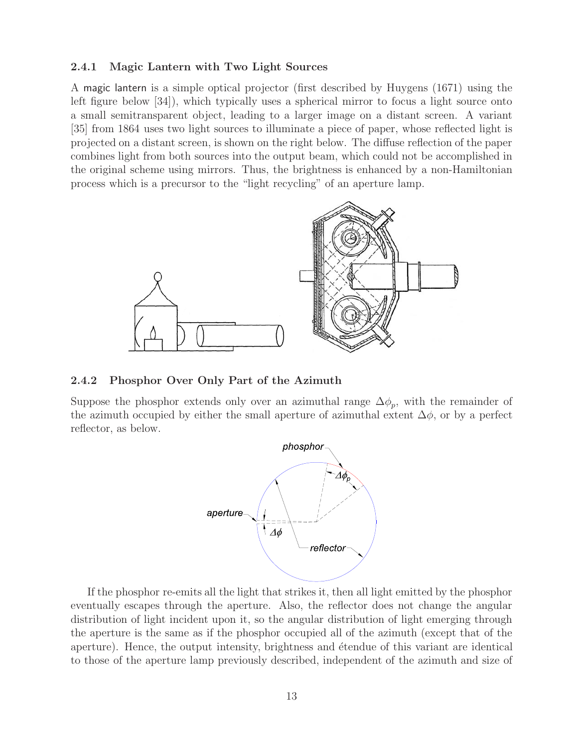#### **2.4.1 Magic Lantern with Two Light Sources**

A magic lantern is a simple optical projector (first described by Huygens (1671) using the left figure below [34]), which typically uses a spherical mirror to focus a light source onto a small semitransparent object, leading to a larger image on a distant screen. A variant [35] from 1864 uses two light sources to illuminate a piece of paper, whose reflected light is projected on a distant screen, is shown on the right below. The diffuse reflection of the paper combines light from both sources into the output beam, which could not be accomplished in the original scheme using mirrors. Thus, the brightness is enhanced by a non-Hamiltonian process which is a precursor to the "light recycling" of an aperture lamp.



#### **2.4.2 Phosphor Over Only Part of the Azimuth**

Suppose the phosphor extends only over an azimuthal range  $\Delta \phi_p$ , with the remainder of the azimuth occupied by either the small aperture of azimuthal extent  $\Delta\phi$ , or by a perfect reflector, as below.



If the phosphor re-emits all the light that strikes it, then all light emitted by the phosphor eventually escapes through the aperture. Also, the reflector does not change the angular distribution of light incident upon it, so the angular distribution of light emerging through the aperture is the same as if the phosphor occupied all of the azimuth (except that of the aperture). Hence, the output intensity, brightness and étendue of this variant are identical to those of the aperture lamp previously described, independent of the azimuth and size of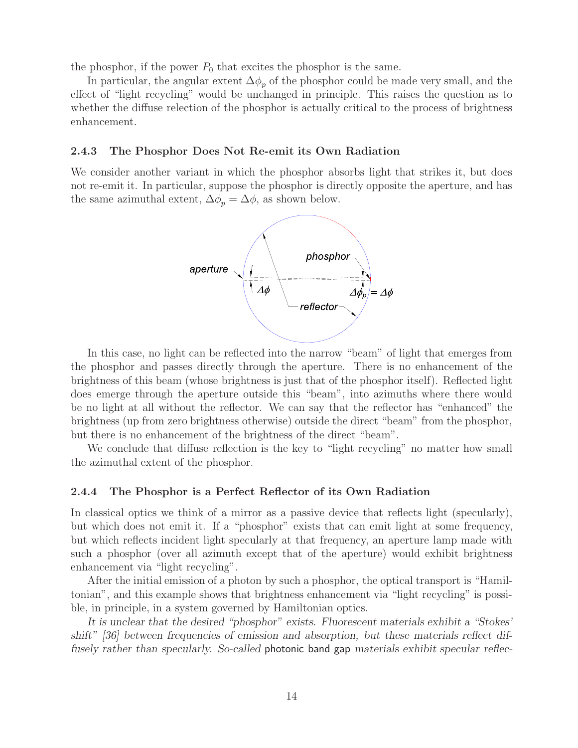the phosphor, if the power  $P_0$  that excites the phosphor is the same.

In particular, the angular extent  $\Delta\phi_p$  of the phosphor could be made very small, and the effect of "light recycling" would be unchanged in principle. This raises the question as to whether the diffuse relection of the phosphor is actually critical to the process of brightness enhancement.

#### **2.4.3 The Phosphor Does Not Re-emit its Own Radiation**

We consider another variant in which the phosphor absorbs light that strikes it, but does not re-emit it. In particular, suppose the phosphor is directly opposite the aperture, and has the same azimuthal extent,  $\Delta \phi_p = \Delta \phi$ , as shown below.



In this case, no light can be reflected into the narrow "beam" of light that emerges from the phosphor and passes directly through the aperture. There is no enhancement of the brightness of this beam (whose brightness is just that of the phosphor itself). Reflected light does emerge through the aperture outside this "beam", into azimuths where there would be no light at all without the reflector. We can say that the reflector has "enhanced" the brightness (up from zero brightness otherwise) outside the direct "beam" from the phosphor, but there is no enhancement of the brightness of the direct "beam".

We conclude that diffuse reflection is the key to "light recycling" no matter how small the azimuthal extent of the phosphor.

#### **2.4.4 The Phosphor is a Perfect Reflector of its Own Radiation**

In classical optics we think of a mirror as a passive device that reflects light (specularly), but which does not emit it. If a "phosphor" exists that can emit light at some frequency, but which reflects incident light specularly at that frequency, an aperture lamp made with such a phosphor (over all azimuth except that of the aperture) would exhibit brightness enhancement via "light recycling".

After the initial emission of a photon by such a phosphor, the optical transport is "Hamiltonian", and this example shows that brightness enhancement via "light recycling" is possible, in principle, in a system governed by Hamiltonian optics.

*It is unclear that the desired "phosphor" exists. Fluorescent materials exhibit a "Stokes' shift" [36] between frequencies of emission and absorption, but these materials reflect diffusely rather than specularly. So-called* photonic band gap *materials exhibit specular reflec-*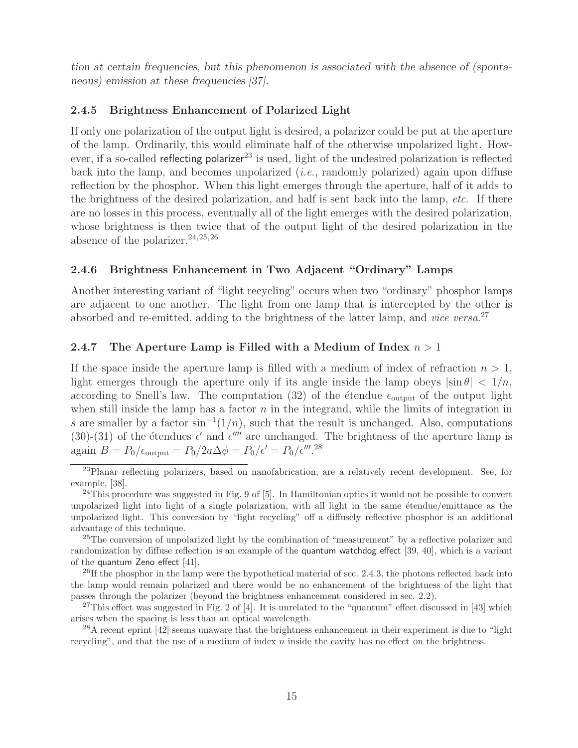*tion at certain frequencies, but this phenomenon is associated with the absence of (spontaneous) emission at these frequencies [37].*

## **2.4.5 Brightness Enhancement of Polarized Light**

If only one polarization of the output light is desired, a polarizer could be put at the aperture of the lamp. Ordinarily, this would eliminate half of the otherwise unpolarized light. However, if a so-called reflecting polarizer<sup>23</sup> is used, light of the undesired polarization is reflected back into the lamp, and becomes unpolarized (*i.e.*, randomly polarized) again upon diffuse reflection by the phosphor. When this light emerges through the aperture, half of it adds to the brightness of the desired polarization, and half is sent back into the lamp, *etc.* If there are no losses in this process, eventually all of the light emerges with the desired polarization, whose brightness is then twice that of the output light of the desired polarization in the absence of the polarizer.  $24,25,26$ 

## **2.4.6 Brightness Enhancement in Two Adjacent "Ordinary" Lamps**

Another interesting variant of "light recycling" occurs when two "ordinary" phosphor lamps are adjacent to one another. The light from one lamp that is intercepted by the other is absorbed and re-emitted, adding to the brightness of the latter lamp, and *vice versa*. 27

### **2.4.7 The Aperture Lamp is Filled with a Medium of Index** n > 1

If the space inside the aperture lamp is filled with a medium of index of refraction  $n > 1$ , light emerges through the aperture only if its angle inside the lamp obeys  $|\sin \theta| < 1/n$ , according to Snell's law. The computation (32) of the étendue  $\epsilon_{\text{output}}$  of the output light when still inside the lamp has a factor  $n$  in the integrand, while the limits of integration in s are smaller by a factor  $\sin^{-1}(1/n)$ , such that the result is unchanged. Also, computations (30)-(31) of the étendues  $\epsilon'$  and  $\epsilon''''$  are unchanged. The brightness of the aperture lamp is again  $B = P_0/\epsilon_{\text{output}} = P_0/2a\Delta\phi = P_0/\epsilon' = P_0/\epsilon'''$ .<sup>28</sup>

 $^{28}$ A recent eprint [42] seems unaware that the brightness enhancement in their experiment is due to "light" recycling", and that the use of a medium of index n inside the cavity has no effect on the brightness.

<sup>23</sup>Planar reflecting polarizers, based on nanofabrication, are a relatively recent development. See, for example, [38].

 $^{24}$ This procedure was suggested in Fig. 9 of [5]. In Hamiltonian optics it would not be possible to convert unpolarized light into light of a single polarization, with all light in the same etendue/emittance as the unpolarized light. This conversion by "light recycling" off a diffusely reflective phosphor is an additional advantage of this technique.

<sup>&</sup>lt;sup>25</sup>The conversion of unpolarized light by the combination of "measurement" by a reflective polarizer and randomization by diffuse reflection is an example of the quantum watchdog effect [39, 40], which is a variant of the quantum Zeno effect [41].

 $^{26}$ If the phosphor in the lamp were the hypothetical material of sec. 2.4.3, the photons reflected back into the lamp would remain polarized and there would be no enhancement of the brightness of the light that passes through the polarizer (beyond the brightness enhancement considered in sec. 2.2).

 $27$ This effect was suggested in Fig. 2 of [4]. It is unrelated to the "quantum" effect discussed in [43] which arises when the spacing is less than an optical wavelength.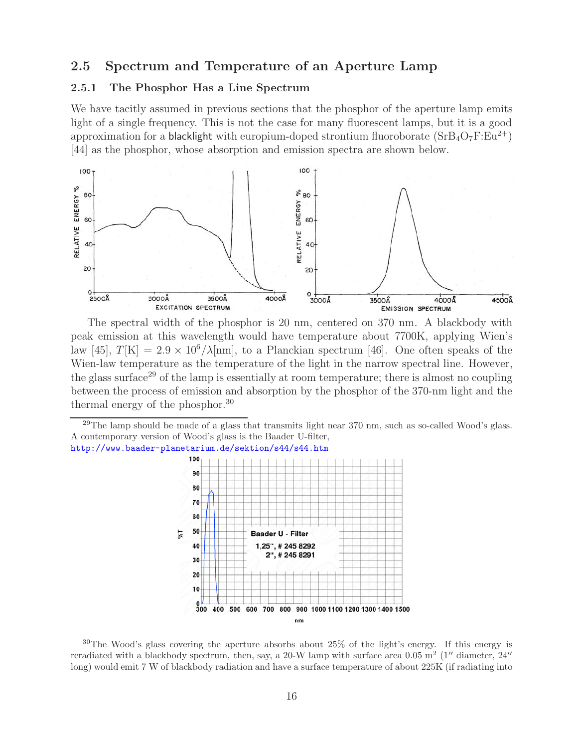## **2.5 Spectrum and Temperature of an Aperture Lamp**

### **2.5.1 The Phosphor Has a Line Spectrum**

We have tacitly assumed in previous sections that the phosphor of the aperture lamp emits light of a single frequency. This is not the case for many fluorescent lamps, but it is a good approximation for a **blacklight** with europium-doped strontium fluoroborate  $(SrB_4O_7F:Eu^{2+})$ [44] as the phosphor, whose absorption and emission spectra are shown below.



The spectral width of the phosphor is 20 nm, centered on 370 nm. A blackbody with peak emission at this wavelength would have temperature about 7700K, applying Wien's law [45],  $T[K] = 2.9 \times 10^6 / \lambda$ [nm], to a Planckian spectrum [46]. One often speaks of the Wien-law temperature as the temperature of the light in the narrow spectral line. However, the glass surface<sup>29</sup> of the lamp is essentially at room temperature; there is almost no coupling between the process of emission and absorption by the phosphor of the 370-nm light and the thermal energy of the phosphor.<sup>30</sup>

 $^{29}$ The lamp should be made of a glass that transmits light near 370 nm, such as so-called Wood's glass. A contemporary version of Wood's glass is the Baader U-filter, http://www.baader-planetarium.de/sektion/s44/s44.htm



 $30$ The Wood's glass covering the aperture absorbs about  $25\%$  of the light's energy. If this energy is reradiated with a blackbody spectrum, then, say, a 20-W lamp with surface area  $0.05 \overset{\circ}{\text{m}}^2$  (1'' diameter, 24'' long) would emit 7 W of blackbody radiation and have a surface temperature of about 225K (if radiating into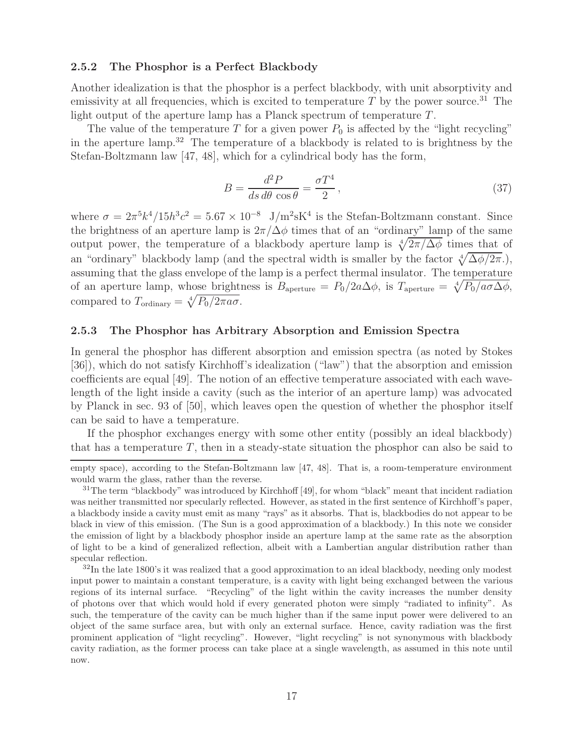#### **2.5.2 The Phosphor is a Perfect Blackbody**

Another idealization is that the phosphor is a perfect blackbody, with unit absorptivity and emissivity at all frequencies, which is excited to temperature  $T$  by the power source.<sup>31</sup> The light output of the aperture lamp has a Planck spectrum of temperature  $T$ .

The value of the temperature T for a given power  $P_0$  is affected by the "light recycling" in the aperture lamp.<sup>32</sup> The temperature of a blackbody is related to is brightness by the Stefan-Boltzmann law [47, 48], which for a cylindrical body has the form,

$$
B = \frac{d^2 P}{ds \, d\theta \, \cos \theta} = \frac{\sigma T^4}{2},\tag{37}
$$

where  $\sigma = 2\pi^5 k^4/15h^3c^2 = 5.67 \times 10^{-8}$  J/m<sup>2</sup>sK<sup>4</sup> is the Stefan-Boltzmann constant. Since the brightness of an aperture lamp is  $2\pi/\Delta\phi$  times that of an "ordinary" lamp of the same output power, the temperature of a blackbody aperture lamp is  $\sqrt[4]{2\pi/\Delta\phi}$  times that of an "ordinary" blackbody lamp (and the spectral width is smaller by the factor  $\sqrt[4]{\Delta\phi/2\pi}$ .), assuming that the glass envelope of the lamp is a perfect thermal insulator. The temperature of an aperture lamp, whose brightness is  $B_{\text{aperture}} = P_0/2a\Delta\phi$ , is  $T_{\text{aperture}} = \sqrt[4]{P_0/a\sigma\Delta\phi}$ , compared to  $T_{\text{ordinary}} = \sqrt[4]{P_0/2\pi a\sigma}$ .

#### **2.5.3 The Phosphor has Arbitrary Absorption and Emission Spectra**

In general the phosphor has different absorption and emission spectra (as noted by Stokes [36]), which do not satisfy Kirchhoff's idealization ("law") that the absorption and emission coefficients are equal [49]. The notion of an effective temperature associated with each wavelength of the light inside a cavity (such as the interior of an aperture lamp) was advocated by Planck in sec. 93 of [50], which leaves open the question of whether the phosphor itself can be said to have a temperature.

If the phosphor exchanges energy with some other entity (possibly an ideal blackbody) that has a temperature  $T$ , then in a steady-state situation the phosphor can also be said to

empty space), according to the Stefan-Boltzmann law [47, 48]. That is, a room-temperature environment would warm the glass, rather than the reverse.

<sup>&</sup>lt;sup>31</sup>The term "blackbody" was introduced by Kirchhoff [49], for whom "black" meant that incident radiation was neither transmitted nor specularly reflected. However, as stated in the first sentence of Kirchhoff's paper, a blackbody inside a cavity must emit as many "rays" as it absorbs. That is, blackbodies do not appear to be black in view of this emission. (The Sun is a good approximation of a blackbody.) In this note we consider the emission of light by a blackbody phosphor inside an aperture lamp at the same rate as the absorption of light to be a kind of generalized reflection, albeit with a Lambertian angular distribution rather than specular reflection.

 $32$ In the late 1800's it was realized that a good approximation to an ideal blackbody, needing only modest input power to maintain a constant temperature, is a cavity with light being exchanged between the various regions of its internal surface. "Recycling" of the light within the cavity increases the number density of photons over that which would hold if every generated photon were simply "radiated to infinity". As such, the temperature of the cavity can be much higher than if the same input power were delivered to an object of the same surface area, but with only an external surface. Hence, cavity radiation was the first prominent application of "light recycling". However, "light recycling" is not synonymous with blackbody cavity radiation, as the former process can take place at a single wavelength, as assumed in this note until now.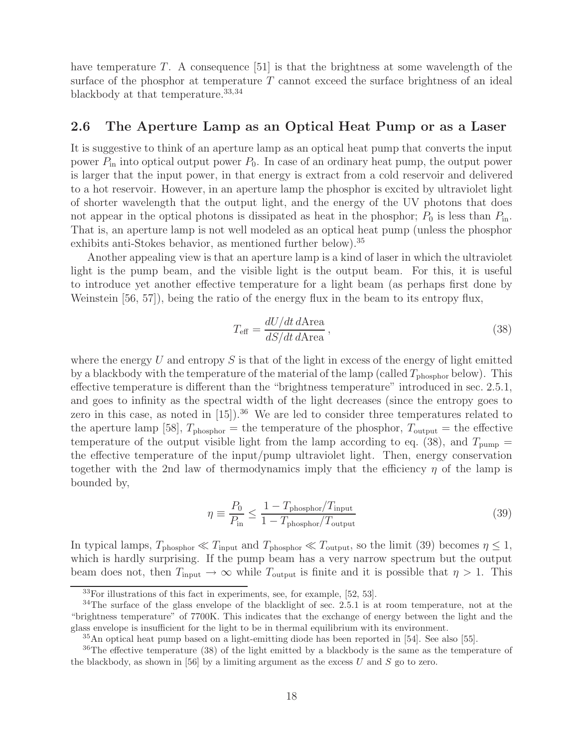have temperature T. A consequence [51] is that the brightness at some wavelength of the surface of the phosphor at temperature  $T$  cannot exceed the surface brightness of an ideal blackbody at that temperature.<sup>33,34</sup>

## **2.6 The Aperture Lamp as an Optical Heat Pump or as a Laser**

It is suggestive to think of an aperture lamp as an optical heat pump that converts the input power  $P_{\text{in}}$  into optical output power  $P_0$ . In case of an ordinary heat pump, the output power is larger that the input power, in that energy is extract from a cold reservoir and delivered to a hot reservoir. However, in an aperture lamp the phosphor is excited by ultraviolet light of shorter wavelength that the output light, and the energy of the UV photons that does not appear in the optical photons is dissipated as heat in the phosphor;  $P_0$  is less than  $P_{\text{in}}$ . That is, an aperture lamp is not well modeled as an optical heat pump (unless the phosphor exhibits anti-Stokes behavior, as mentioned further below).<sup>35</sup>

Another appealing view is that an aperture lamp is a kind of laser in which the ultraviolet light is the pump beam, and the visible light is the output beam. For this, it is useful to introduce yet another effective temperature for a light beam (as perhaps first done by Weinstein [56, 57]), being the ratio of the energy flux in the beam to its entropy flux,

$$
T_{\text{eff}} = \frac{dU/dt \, d\text{Area}}{dS/dt \, d\text{Area}},\tag{38}
$$

where the energy U and entropy S is that of the light in excess of the energy of light emitted by a blackbody with the temperature of the material of the lamp (called  $T_{\text{phosphor}}$  below). This effective temperature is different than the "brightness temperature" introduced in sec. 2.5.1, and goes to infinity as the spectral width of the light decreases (since the entropy goes to zero in this case, as noted in  $[15]$ .<sup>36</sup> We are led to consider three temperatures related to the aperture lamp [58],  $T_{\text{phosphor}} =$  the temperature of the phosphor,  $T_{\text{output}} =$  the effective temperature of the output visible light from the lamp according to eq. (38), and  $T_{\text{pump}} =$ the effective temperature of the input/pump ultraviolet light. Then, energy conservation together with the 2nd law of thermodynamics imply that the efficiency  $\eta$  of the lamp is bounded by,

$$
\eta \equiv \frac{P_0}{P_{\text{in}}} \le \frac{1 - T_{\text{phosphor}}/T_{\text{input}}}{1 - T_{\text{phosphor}}/T_{\text{output}}}
$$
\n(39)

In typical lamps,  $T_{\text{phosphor}} \ll T_{\text{input}}$  and  $T_{\text{phosphor}} \ll T_{\text{output}}$ , so the limit (39) becomes  $\eta \leq 1$ , which is hardly surprising. If the pump beam has a very narrow spectrum but the output beam does not, then  $T_{\text{input}} \rightarrow \infty$  while  $T_{\text{output}}$  is finite and it is possible that  $\eta > 1$ . This

 $33$ For illustrations of this fact in experiments, see, for example, [52, 53].

<sup>34</sup>The surface of the glass envelope of the blacklight of sec. 2.5.1 is at room temperature, not at the "brightness temperature" of 7700K. This indicates that the exchange of energy between the light and the glass envelope is insufficient for the light to be in thermal equilibrium with its environment.

<sup>35</sup>An optical heat pump based on a light-emitting diode has been reported in [54]. See also [55].

<sup>&</sup>lt;sup>36</sup>The effective temperature (38) of the light emitted by a blackbody is the same as the temperature of the blackbody, as shown in [56] by a limiting argument as the excess U and S go to zero.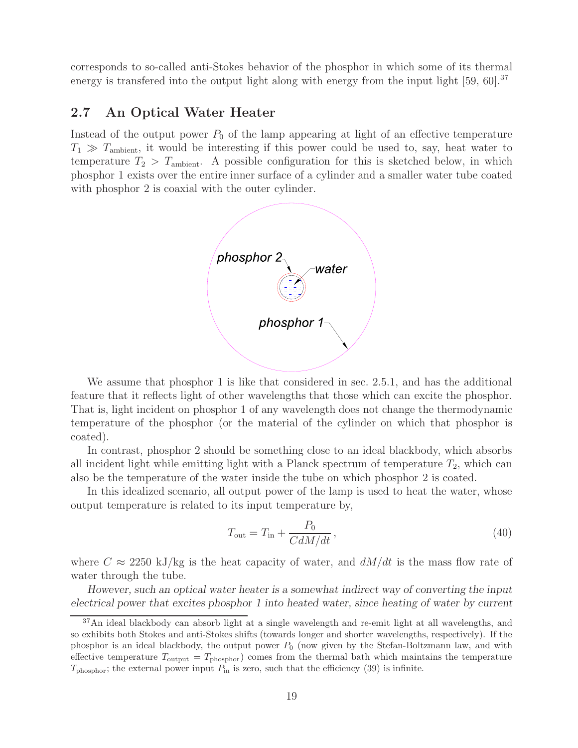corresponds to so-called anti-Stokes behavior of the phosphor in which some of its thermal energy is transfered into the output light along with energy from the input light [59, 60].<sup>37</sup>

## **2.7 An Optical Water Heater**

Instead of the output power  $P_0$  of the lamp appearing at light of an effective temperature  $T_1 \gg T_{\text{ambient}}$ , it would be interesting if this power could be used to, say, heat water to temperature  $T_2 > T_{\text{ambient}}$ . A possible configuration for this is sketched below, in which phosphor 1 exists over the entire inner surface of a cylinder and a smaller water tube coated with phosphor 2 is coaxial with the outer cylinder.



We assume that phosphor 1 is like that considered in sec. 2.5.1, and has the additional feature that it reflects light of other wavelengths that those which can excite the phosphor. That is, light incident on phosphor 1 of any wavelength does not change the thermodynamic temperature of the phosphor (or the material of the cylinder on which that phosphor is coated).

In contrast, phosphor 2 should be something close to an ideal blackbody, which absorbs all incident light while emitting light with a Planck spectrum of temperature  $T_2$ , which can also be the temperature of the water inside the tube on which phosphor 2 is coated.

In this idealized scenario, all output power of the lamp is used to heat the water, whose output temperature is related to its input temperature by,

$$
T_{\text{out}} = T_{\text{in}} + \frac{P_0}{CdM/dt},\tag{40}
$$

where  $C \approx 2250$  kJ/kg is the heat capacity of water, and  $dM/dt$  is the mass flow rate of water through the tube.

*However, such an optical water heater is a somewhat indirect way of converting the input electrical power that excites phosphor 1 into heated water, since heating of water by current*

 $37$ An ideal blackbody can absorb light at a single wavelength and re-emit light at all wavelengths, and so exhibits both Stokes and anti-Stokes shifts (towards longer and shorter wavelengths, respectively). If the phosphor is an ideal blackbody, the output power  $P_0$  (now given by the Stefan-Boltzmann law, and with effective temperature  $T_{\text{output}} = T_{\text{phosphor}}$  comes from the thermal bath which maintains the temperature  $T_{\text{phosphor}}$ ; the external power input  $P_{\text{in}}$  is zero, such that the efficiency (39) is infinite.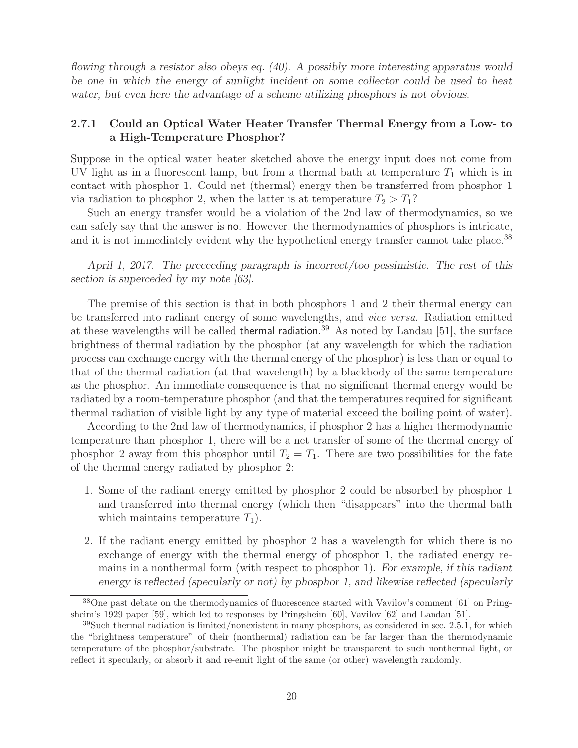*flowing through a resistor also obeys eq. (40). A possibly more interesting apparatus would be one in which the energy of sunlight incident on some collector could be used to heat water, but even here the advantage of a scheme utilizing phosphors is not obvious.*

## **2.7.1 Could an Optical Water Heater Transfer Thermal Energy from a Low- to a High-Temperature Phosphor?**

Suppose in the optical water heater sketched above the energy input does not come from UV light as in a fluorescent lamp, but from a thermal bath at temperature  $T_1$  which is in contact with phosphor 1. Could net (thermal) energy then be transferred from phosphor 1 via radiation to phosphor 2, when the latter is at temperature  $T_2 > T_1$ ?

Such an energy transfer would be a violation of the 2nd law of thermodynamics, so we can safely say that the answer is no. However, the thermodynamics of phosphors is intricate, and it is not immediately evident why the hypothetical energy transfer cannot take place.<sup>38</sup>

*April 1, 2017. The preceeding paragraph is incorrect/too pessimistic. The rest of this section is superceded by my note [63].*

The premise of this section is that in both phosphors 1 and 2 their thermal energy can be transferred into radiant energy of some wavelengths, and *vice versa*. Radiation emitted at these wavelengths will be called thermal radiation.<sup>39</sup> As noted by Landau [51], the surface brightness of thermal radiation by the phosphor (at any wavelength for which the radiation process can exchange energy with the thermal energy of the phosphor) is less than or equal to that of the thermal radiation (at that wavelength) by a blackbody of the same temperature as the phosphor. An immediate consequence is that no significant thermal energy would be radiated by a room-temperature phosphor (and that the temperatures required for significant thermal radiation of visible light by any type of material exceed the boiling point of water).

According to the 2nd law of thermodynamics, if phosphor 2 has a higher thermodynamic temperature than phosphor 1, there will be a net transfer of some of the thermal energy of phosphor 2 away from this phosphor until  $T_2 = T_1$ . There are two possibilities for the fate of the thermal energy radiated by phosphor 2:

- 1. Some of the radiant energy emitted by phosphor 2 could be absorbed by phosphor 1 and transferred into thermal energy (which then "disappears" into the thermal bath which maintains temperature  $T_1$ ).
- 2. If the radiant energy emitted by phosphor 2 has a wavelength for which there is no exchange of energy with the thermal energy of phosphor 1, the radiated energy remains in a nonthermal form (with respect to phosphor 1). *For example, if this radiant energy is reflected (specularly or not) by phosphor 1, and likewise reflected (specularly*

<sup>&</sup>lt;sup>38</sup>One past debate on the thermodynamics of fluorescence started with Vavilov's comment [61] on Pringsheim's 1929 paper [59], which led to responses by Pringsheim [60], Vavilov [62] and Landau [51].

 $39$ Such thermal radiation is limited/nonexistent in many phosphors, as considered in sec. 2.5.1, for which the "brightness temperature" of their (nonthermal) radiation can be far larger than the thermodynamic temperature of the phosphor/substrate. The phosphor might be transparent to such nonthermal light, or reflect it specularly, or absorb it and re-emit light of the same (or other) wavelength randomly.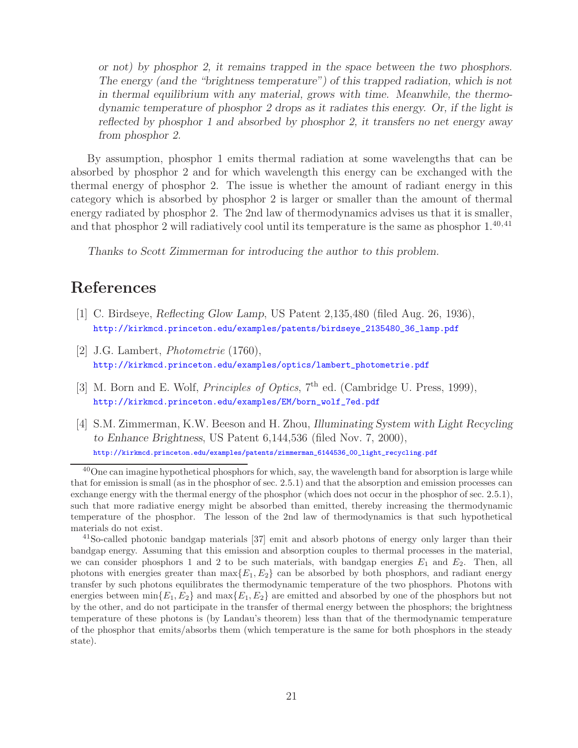*or not) by phosphor 2, it remains trapped in the space between the two phosphors. The energy (and the "brightness temperature") of this trapped radiation, which is not in thermal equilibrium with any material, grows with time. Meanwhile, the thermodynamic temperature of phosphor 2 drops as it radiates this energy. Or, if the light is reflected by phosphor 1 and absorbed by phosphor 2, it transfers no net energy away from phosphor 2.*

By assumption, phosphor 1 emits thermal radiation at some wavelengths that can be absorbed by phosphor 2 and for which wavelength this energy can be exchanged with the thermal energy of phosphor 2. The issue is whether the amount of radiant energy in this category which is absorbed by phosphor 2 is larger or smaller than the amount of thermal energy radiated by phosphor 2. The 2nd law of thermodynamics advises us that it is smaller, and that phosphor 2 will radiatively cool until its temperature is the same as phosphor  $1.^{40,41}$ 

*Thanks to Scott Zimmerman for introducing the author to this problem.*

## **References**

- [1] C. Birdseye, *Reflecting Glow Lamp*, US Patent 2,135,480 (filed Aug. 26, 1936), http://kirkmcd.princeton.edu/examples/patents/birdseye\_2135480\_36\_lamp.pdf
- [2] J.G. Lambert, *Photometrie* (1760), http://kirkmcd.princeton.edu/examples/optics/lambert\_photometrie.pdf
- [3] M. Born and E. Wolf, *Principles of Optics*, 7<sup>th</sup> ed. (Cambridge U. Press, 1999), http://kirkmcd.princeton.edu/examples/EM/born\_wolf\_7ed.pdf
- [4] S.M. Zimmerman, K.W. Beeson and H. Zhou, *Illuminating System with Light Recycling to Enhance Brightness*, US Patent 6,144,536 (filed Nov. 7, 2000), http://kirkmcd.princeton.edu/examples/patents/zimmerman\_6144536\_00\_light\_recycling.pdf

<sup>&</sup>lt;sup>40</sup>One can imagine hypothetical phosphors for which, say, the wavelength band for absorption is large while that for emission is small (as in the phosphor of sec. 2.5.1) and that the absorption and emission processes can exchange energy with the thermal energy of the phosphor (which does not occur in the phosphor of sec. 2.5.1), such that more radiative energy might be absorbed than emitted, thereby increasing the thermodynamic temperature of the phosphor. The lesson of the 2nd law of thermodynamics is that such hypothetical materials do not exist.

 $^{41}$ So-called photonic bandgap materials [37] emit and absorb photons of energy only larger than their bandgap energy. Assuming that this emission and absorption couples to thermal processes in the material, we can consider phosphors 1 and 2 to be such materials, with bandgap energies  $E_1$  and  $E_2$ . Then, all photons with energies greater than  $\max\{E_1, E_2\}$  can be absorbed by both phosphors, and radiant energy transfer by such photons equilibrates the thermodynamic temperature of the two phosphors. Photons with energies between  $\min\{E_1, E_2\}$  and  $\max\{E_1, E_2\}$  are emitted and absorbed by one of the phosphors but not by the other, and do not participate in the transfer of thermal energy between the phosphors; the brightness temperature of these photons is (by Landau's theorem) less than that of the thermodynamic temperature of the phosphor that emits/absorbs them (which temperature is the same for both phosphors in the steady state).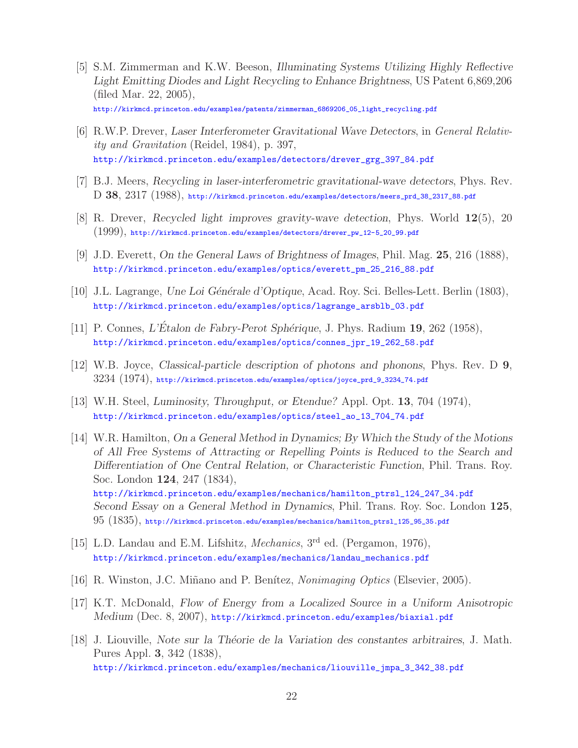[5] S.M. Zimmerman and K.W. Beeson, *Illuminating Systems Utilizing Highly Reflective Light Emitting Diodes and Light Recycling to Enhance Brightness*, US Patent 6,869,206 (filed Mar. 22, 2005),

http://kirkmcd.princeton.edu/examples/patents/zimmerman\_6869206\_05\_light\_recycling.pdf

- [6] R.W.P. Drever, *Laser Interferometer Gravitational Wave Detectors*, in *General Relativity and Gravitation* (Reidel, 1984), p. 397, http://kirkmcd.princeton.edu/examples/detectors/drever\_grg\_397\_84.pdf
- [7] B.J. Meers, *Recycling in laser-interferometric gravitational-wave detectors*, Phys. Rev. D **38**, 2317 (1988), http://kirkmcd.princeton.edu/examples/detectors/meers\_prd\_38\_2317\_88.pdf
- [8] R. Drever, *Recycled light improves gravity-wave detection*, Phys. World **12**(5), 20 (1999), http://kirkmcd.princeton.edu/examples/detectors/drever\_pw\_12-5\_20\_99.pdf
- [9] J.D. Everett, *On the General Laws of Brightness of Images*, Phil. Mag. **25**, 216 (1888), http://kirkmcd.princeton.edu/examples/optics/everett\_pm\_25\_216\_88.pdf
- [10] J.L. Lagrange, *Une Loi G´en´erale d'Optique*, Acad. Roy. Sci. Belles-Lett. Berlin (1803), http://kirkmcd.princeton.edu/examples/optics/lagrange\_arsblb\_03.pdf
- [11] P. Connes, *L'Étalon de Fabry-Perot Sphérique*, J. Phys. Radium **19**, 262 (1958), http://kirkmcd.princeton.edu/examples/optics/connes\_jpr\_19\_262\_58.pdf
- [12] W.B. Joyce, *Classical-particle description of photons and phonons*, Phys. Rev. D **9**, 3234 (1974), http://kirkmcd.princeton.edu/examples/optics/joyce\_prd\_9\_3234\_74.pdf
- [13] W.H. Steel, *Luminosity, Throughput, or Etendue?* Appl. Opt. **13**, 704 (1974), http://kirkmcd.princeton.edu/examples/optics/steel\_ao\_13\_704\_74.pdf
- [14] W.R. Hamilton, *On a General Method in Dynamics; By Which the Study of the Motions of All Free Systems of Attracting or Repelling Points is Reduced to the Search and Differentiation of One Central Relation, or Characteristic Function*, Phil. Trans. Roy. Soc. London **124**, 247 (1834), http://kirkmcd.princeton.edu/examples/mechanics/hamilton\_ptrsl\_124\_247\_34.pdf *Second Essay on a General Method in Dynamics*, Phil. Trans. Roy. Soc. London **125**, 95 (1835), http://kirkmcd.princeton.edu/examples/mechanics/hamilton\_ptrsl\_125\_95\_35.pdf
- [15] L.D. Landau and E.M. Lifshitz, *Mechanics*, 3rd ed. (Pergamon, 1976), http://kirkmcd.princeton.edu/examples/mechanics/landau\_mechanics.pdf
- [16] R. Winston, J.C. Mi˜nano and P. Ben´ıtez, *Nonimaging Optics* (Elsevier, 2005).
- [17] K.T. McDonald, *Flow of Energy from a Localized Source in a Uniform Anisotropic Medium* (Dec. 8, 2007), http://kirkmcd.princeton.edu/examples/biaxial.pdf
- [18] J. Liouville, *Note sur la Th´eorie de la Variation des constantes arbitraires*, J. Math. Pures Appl. **3**, 342 (1838), http://kirkmcd.princeton.edu/examples/mechanics/liouville\_jmpa\_3\_342\_38.pdf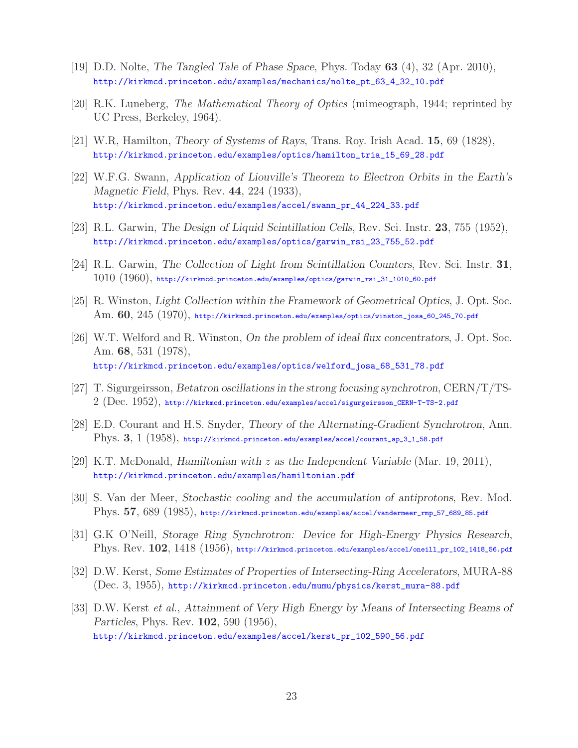- [19] D.D. Nolte, *The Tangled Tale of Phase Space*, Phys. Today **63** (4), 32 (Apr. 2010), http://kirkmcd.princeton.edu/examples/mechanics/nolte\_pt\_63\_4\_32\_10.pdf
- [20] R.K. Luneberg, *The Mathematical Theory of Optics* (mimeograph, 1944; reprinted by UC Press, Berkeley, 1964).
- [21] W.R, Hamilton, *Theory of Systems of Rays*, Trans. Roy. Irish Acad. **15**, 69 (1828), http://kirkmcd.princeton.edu/examples/optics/hamilton\_tria\_15\_69\_28.pdf
- [22] W.F.G. Swann, *Application of Liouville's Theorem to Electron Orbits in the Earth's Magnetic Field*, Phys. Rev. **44**, 224 (1933), http://kirkmcd.princeton.edu/examples/accel/swann\_pr\_44\_224\_33.pdf
- [23] R.L. Garwin, *The Design of Liquid Scintillation Cells*, Rev. Sci. Instr. **23**, 755 (1952), http://kirkmcd.princeton.edu/examples/optics/garwin\_rsi\_23\_755\_52.pdf
- [24] R.L. Garwin, *The Collection of Light from Scintillation Counters*, Rev. Sci. Instr. **31**, 1010 (1960), http://kirkmcd.princeton.edu/examples/optics/garwin\_rsi\_31\_1010\_60.pdf
- [25] R. Winston, *Light Collection within the Framework of Geometrical Optics*, J. Opt. Soc. Am. **60**, 245 (1970), http://kirkmcd.princeton.edu/examples/optics/winston\_josa\_60\_245\_70.pdf
- [26] W.T. Welford and R. Winston, *On the problem of ideal flux concentrators*, J. Opt. Soc. Am. **68**, 531 (1978), http://kirkmcd.princeton.edu/examples/optics/welford\_josa\_68\_531\_78.pdf
- [27] T. Sigurgeirsson, *Betatron oscillations in the strong focusing synchrotron*, CERN/T/TS-2 (Dec. 1952), http://kirkmcd.princeton.edu/examples/accel/sigurgeirsson\_CERN-T-TS-2.pdf
- [28] E.D. Courant and H.S. Snyder, *Theory of the Alternating-Gradient Synchrotron*, Ann. Phys. **3**, 1 (1958), http://kirkmcd.princeton.edu/examples/accel/courant\_ap\_3\_1\_58.pdf
- [29] K.T. McDonald, *Hamiltonian with* z *as the Independent Variable* (Mar. 19, 2011), http://kirkmcd.princeton.edu/examples/hamiltonian.pdf
- [30] S. Van der Meer, *Stochastic cooling and the accumulation of antiprotons*, Rev. Mod. Phys. **57**, 689 (1985), http://kirkmcd.princeton.edu/examples/accel/vandermeer\_rmp\_57\_689\_85.pdf
- [31] G.K O'Neill, *Storage Ring Synchrotron: Device for High-Energy Physics Research*, Phys. Rev. **102**, 1418 (1956), http://kirkmcd.princeton.edu/examples/accel/oneill\_pr\_102\_1418\_56.pdf
- [32] D.W. Kerst, *Some Estimates of Properties of Intersecting-Ring Accelerators*, MURA-88 (Dec. 3, 1955), http://kirkmcd.princeton.edu/mumu/physics/kerst\_mura-88.pdf
- [33] D.W. Kerst *et al.*, *Attainment of Very High Energy by Means of Intersecting Beams of Particles*, Phys. Rev. **102**, 590 (1956), http://kirkmcd.princeton.edu/examples/accel/kerst\_pr\_102\_590\_56.pdf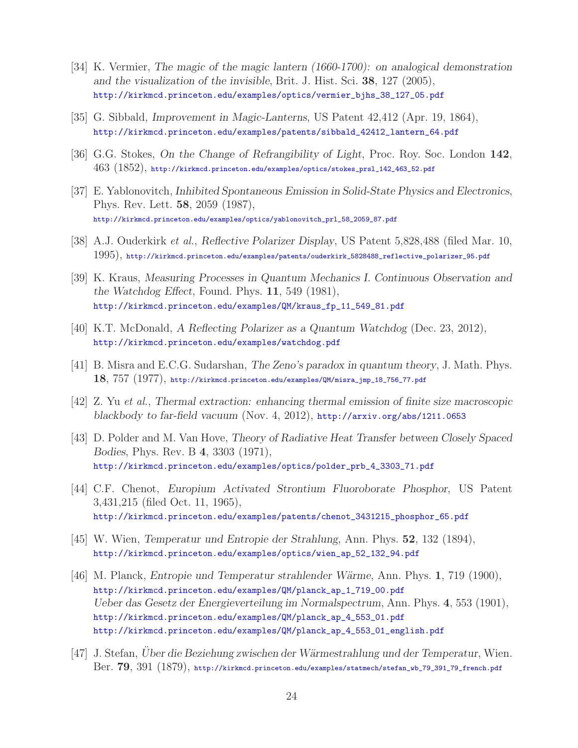- [34] K. Vermier, *The magic of the magic lantern (1660-1700): on analogical demonstration and the visualization of the invisible*, Brit. J. Hist. Sci. **38**, 127 (2005), http://kirkmcd.princeton.edu/examples/optics/vermier\_bjhs\_38\_127\_05.pdf
- [35] G. Sibbald, *Improvement in Magic-Lanterns*, US Patent 42,412 (Apr. 19, 1864), http://kirkmcd.princeton.edu/examples/patents/sibbald\_42412\_lantern\_64.pdf
- [36] G.G. Stokes, *On the Change of Refrangibility of Light*, Proc. Roy. Soc. London **142**, 463 (1852), http://kirkmcd.princeton.edu/examples/optics/stokes\_prsl\_142\_463\_52.pdf
- [37] E. Yablonovitch, *Inhibited Spontaneous Emission in Solid-State Physics and Electronics*, Phys. Rev. Lett. **58**, 2059 (1987), http://kirkmcd.princeton.edu/examples/optics/yablonovitch\_prl\_58\_2059\_87.pdf
- [38] A.J. Ouderkirk *et al.*, *Reflective Polarizer Display*, US Patent 5,828,488 (filed Mar. 10, 1995), http://kirkmcd.princeton.edu/examples/patents/ouderkirk\_5828488\_reflective\_polarizer\_95.pdf
- [39] K. Kraus, *Measuring Processes in Quantum Mechanics I. Continuous Observation and the Watchdog Effect*, Found. Phys. **11**, 549 (1981), http://kirkmcd.princeton.edu/examples/QM/kraus\_fp\_11\_549\_81.pdf
- [40] K.T. McDonald, *A Reflecting Polarizer as a Quantum Watchdog* (Dec. 23, 2012), http://kirkmcd.princeton.edu/examples/watchdog.pdf
- [41] B. Misra and E.C.G. Sudarshan, *The Zeno's paradox in quantum theory*, J. Math. Phys. **18**, 757 (1977), http://kirkmcd.princeton.edu/examples/QM/misra\_jmp\_18\_756\_77.pdf
- [42] Z. Yu *et al.*, *Thermal extraction: enhancing thermal emission of finite size macroscopic blackbody to far-field vacuum* (Nov. 4, 2012), http://arxiv.org/abs/1211.0653
- [43] D. Polder and M. Van Hove, *Theory of Radiative Heat Transfer between Closely Spaced Bodies*, Phys. Rev. B **4**, 3303 (1971), http://kirkmcd.princeton.edu/examples/optics/polder\_prb\_4\_3303\_71.pdf
- [44] C.F. Chenot, *Europium Activated Strontium Fluoroborate Phosphor*, US Patent 3,431,215 (filed Oct. 11, 1965), http://kirkmcd.princeton.edu/examples/patents/chenot\_3431215\_phosphor\_65.pdf
- [45] W. Wien, *Temperatur und Entropie der Strahlung*, Ann. Phys. **52**, 132 (1894), http://kirkmcd.princeton.edu/examples/optics/wien\_ap\_52\_132\_94.pdf
- [46] M. Planck, *Entropie und Temperatur strahlender W¨arme*, Ann. Phys. **1**, 719 (1900), http://kirkmcd.princeton.edu/examples/QM/planck\_ap\_1\_719\_00.pdf *Ueber das Gesetz der Energieverteilung im Normalspectrum*, Ann. Phys. **4**, 553 (1901), http://kirkmcd.princeton.edu/examples/QM/planck\_ap\_4\_553\_01.pdf http://kirkmcd.princeton.edu/examples/QM/planck\_ap\_4\_553\_01\_english.pdf
- [47] J. Stefan, *Uber die Beziehung zwischen der W¨ ¨ armestrahlung und der Temperatur*, Wien. Ber. **79**, 391 (1879), http://kirkmcd.princeton.edu/examples/statmech/stefan\_wb\_79\_391\_79\_french.pdf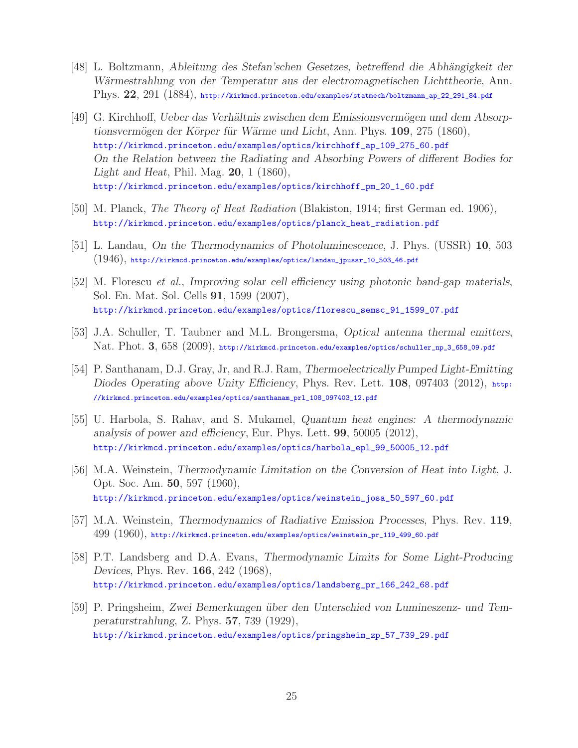- [48] L. Boltzmann, *Ableitung des Stefan'schen Gesetzes, betreffend die Abhängigkeit der W¨armestrahlung von der Temperatur aus der electromagnetischen Lichttheorie*, Ann. Phys. **22**, 291 (1884), http://kirkmcd.princeton.edu/examples/statmech/boltzmann\_ap\_22\_291\_84.pdf
- [49] G. Kirchhoff, *Ueber das Verhältnis zwischen dem Emissionsvermögen und dem Absorptionsverm¨ogen der K¨orper f¨ur W¨arme und Licht*, Ann. Phys. **109**, 275 (1860), http://kirkmcd.princeton.edu/examples/optics/kirchhoff\_ap\_109\_275\_60.pdf *On the Relation between the Radiating and Absorbing Powers of different Bodies for Light and Heat*, Phil. Mag. **20**, 1 (1860), http://kirkmcd.princeton.edu/examples/optics/kirchhoff\_pm\_20\_1\_60.pdf
- [50] M. Planck, *The Theory of Heat Radiation* (Blakiston, 1914; first German ed. 1906), http://kirkmcd.princeton.edu/examples/optics/planck\_heat\_radiation.pdf
- [51] L. Landau, *On the Thermodynamics of Photoluminescence*, J. Phys. (USSR) **10**, 503  $(1946)$ , http://kirkmcd.princeton.edu/examples/optics/landau\_jpussr\_10\_503\_46.pdf
- [52] M. Florescu *et al.*, *Improving solar cell efficiency using photonic band-gap materials*, Sol. En. Mat. Sol. Cells **91**, 1599 (2007), http://kirkmcd.princeton.edu/examples/optics/florescu\_semsc\_91\_1599\_07.pdf
- [53] J.A. Schuller, T. Taubner and M.L. Brongersma, *Optical antenna thermal emitters*, Nat. Phot. **3**, 658 (2009), http://kirkmcd.princeton.edu/examples/optics/schuller\_np\_3\_658\_09.pdf
- [54] P. Santhanam, D.J. Gray, Jr, and R.J. Ram, *Thermoelectrically Pumped Light-Emitting Diodes Operating above Unity Efficiency*, Phys. Rev. Lett. **108**, 097403 (2012), http: //kirkmcd.princeton.edu/examples/optics/santhanam\_prl\_108\_097403\_12.pdf
- [55] U. Harbola, S. Rahav, and S. Mukamel, *Quantum heat engines: A thermodynamic analysis of power and efficiency*, Eur. Phys. Lett. **99**, 50005 (2012), http://kirkmcd.princeton.edu/examples/optics/harbola\_epl\_99\_50005\_12.pdf
- [56] M.A. Weinstein, *Thermodynamic Limitation on the Conversion of Heat into Light*, J. Opt. Soc. Am. **50**, 597 (1960), http://kirkmcd.princeton.edu/examples/optics/weinstein\_josa\_50\_597\_60.pdf
- [57] M.A. Weinstein, *Thermodynamics of Radiative Emission Processes*, Phys. Rev. **119**, 499 (1960), http://kirkmcd.princeton.edu/examples/optics/weinstein\_pr\_119\_499\_60.pdf
- [58] P.T. Landsberg and D.A. Evans, *Thermodynamic Limits for Some Light-Producing Devices*, Phys. Rev. **166**, 242 (1968), http://kirkmcd.princeton.edu/examples/optics/landsberg\_pr\_166\_242\_68.pdf
- [59] P. Pringsheim, Zwei Bemerkungen über den Unterschied von Lumineszenz- und Tem*peraturstrahlung*, Z. Phys. **57**, 739 (1929), http://kirkmcd.princeton.edu/examples/optics/pringsheim\_zp\_57\_739\_29.pdf